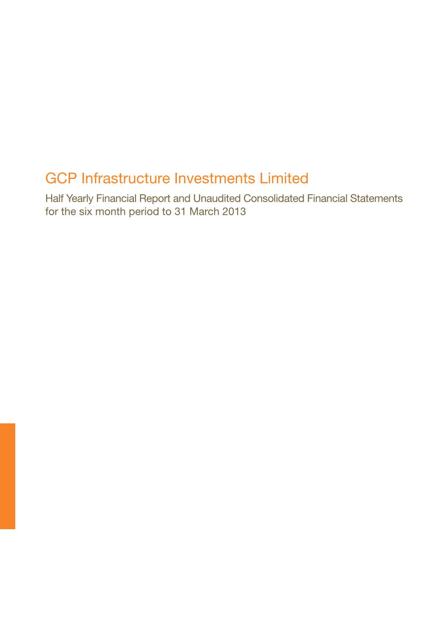# GCP Infrastructure Investments Limited

Half Yearly Financial Report and Unaudited Consolidated Financial Statements for the six month period to 31 March 2013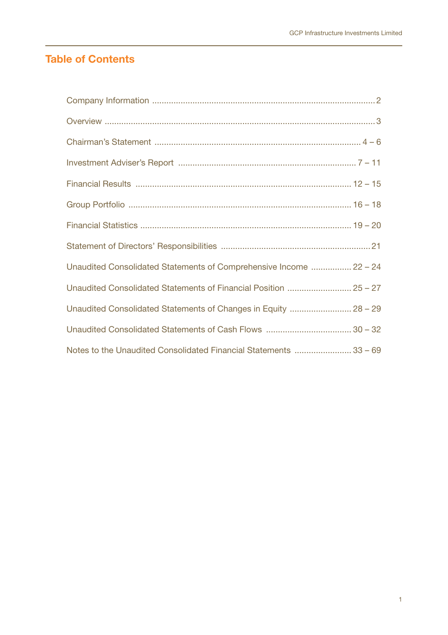# **Table of Contents**

| Unaudited Consolidated Statements of Comprehensive Income  22 - 24 |
|--------------------------------------------------------------------|
| Unaudited Consolidated Statements of Financial Position  25 - 27   |
| Unaudited Consolidated Statements of Changes in Equity  28 - 29    |
|                                                                    |
| Notes to the Unaudited Consolidated Financial Statements  33 - 69  |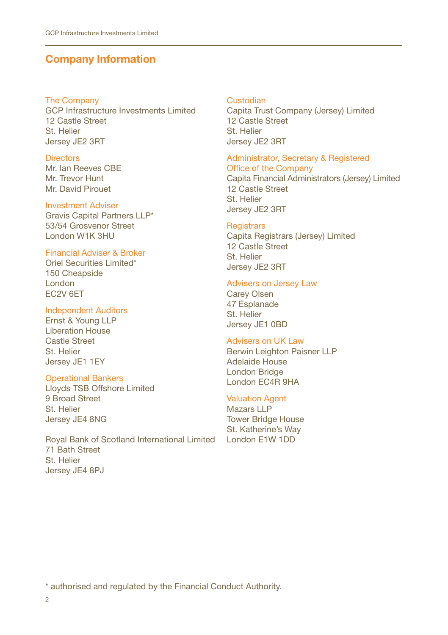# **Company Information**

#### The Company

GCP Infrastructure Investments Limited 12 Castle Street St. Helier Jersey JE2 3RT

#### **Directors**

Mr. Ian Reeves CBE Mr. Trevor Hunt Mr. David Pirouet

#### Investment Adviser

Gravis Capital Partners LLP\* 53/54 Grosvenor Street London W1K 3HU

## Financial Adviser & Broker

Oriel Securities Limited\* 150 Cheapside London EC2V 6ET

#### Independent Auditors

Ernst & Young LLP Liberation House Castle Street St. Helier Jersey JE1 1EY

#### Operational Bankers

Lloyds TSB Offshore Limited 9 Broad Street St. Helier Jersey JE4 8NG

Royal Bank of Scotland International Limited 71 Bath Street St. Helier Jersey JE4 8PJ

#### Custodian

Capita Trust Company (Jersey) Limited 12 Castle Street St. Helier Jersey JE2 3RT

#### Administrator, Secretary & Registered

Office of the Company Capita Financial Administrators (Jersey) Limited 12 Castle Street St. Helier Jersey JE2 3RT

#### **Registrars**

Capita Registrars (Jersey) Limited 12 Castle Street St. Helier Jersey JE2 3RT

#### Advisers on Jersey Law

Carey Olsen 47 Esplanade St. Helier Jersey JE1 0BD

#### Advisers on UK Law

Berwin Leighton Paisner LLP Adelaide House London Bridge London EC4R 9HA

## Valuation Agent

Mazars LLP Tower Bridge House St. Katherine's Way London E1W 1DD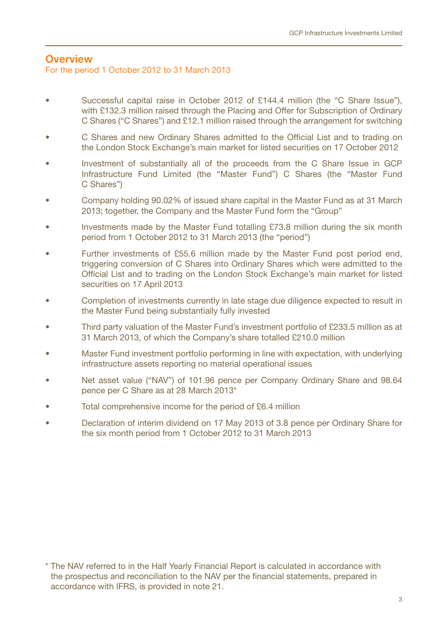### **Overview** For the period 1 October 2012 to 31 March 2013

- Successful capital raise in October 2012 of £144.4 million (the "C Share Issue"), with £132.3 million raised through the Placing and Offer for Subscription of Ordinary C Shares ("C Shares") and £12.1 million raised through the arrangement for switching
- C Shares and new Ordinary Shares admitted to the Official List and to trading on the London Stock Exchange's main market for listed securities on 17 October 2012
- Investment of substantially all of the proceeds from the C Share Issue in GCP Infrastructure Fund Limited (the "Master Fund") C Shares (the "Master Fund C Shares")
- Company holding 90.02% of issued share capital in the Master Fund as at 31 March 2013; together, the Company and the Master Fund form the "Group"
- Investments made by the Master Fund totalling £73.8 million during the six month period from 1 October 2012 to 31 March 2013 (the "period")
- Further investments of £55.6 million made by the Master Fund post period end, triggering conversion of C Shares into Ordinary Shares which were admitted to the Official List and to trading on the London Stock Exchange's main market for listed securities on 17 April 2013
- Completion of investments currently in late stage due diligence expected to result in the Master Fund being substantially fully invested
- Third party valuation of the Master Fund's investment portfolio of £233.5 million as at 31 March 2013, of which the Company's share totalled £210.0 million
- Master Fund investment portfolio performing in line with expectation, with underlying infrastructure assets reporting no material operational issues
- Net asset value ("NAV") of 101.96 pence per Company Ordinary Share and 98.64 pence per C Share as at 28 March 2013\*
- Total comprehensive income for the period of £6.4 million
- Declaration of interim dividend on 17 May 2013 of 3.8 pence per Ordinary Share for the six month period from 1 October 2012 to 31 March 2013

<sup>\*</sup> The NAV referred to in the Half Yearly Financial Report is calculated in accordance with the prospectus and reconciliation to the NAV per the financial statements, prepared in accordance with IFRS, is provided in note 21.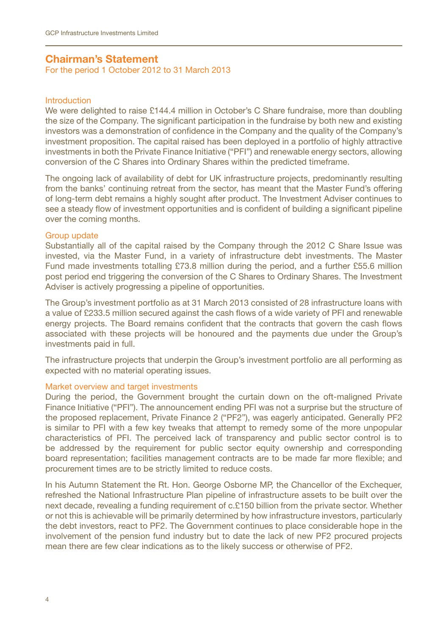## **Chairman's Statement**

For the period 1 October 2012 to 31 March 2013

#### Introduction

We were delighted to raise £144.4 million in October's C Share fundraise, more than doubling the size of the Company. The significant participation in the fundraise by both new and existing investors was a demonstration of confidence in the Company and the quality of the Company's investment proposition. The capital raised has been deployed in a portfolio of highly attractive investments in both the Private Finance Initiative ("PFI") and renewable energy sectors, allowing conversion of the C Shares into Ordinary Shares within the predicted timeframe.

The ongoing lack of availability of debt for UK infrastructure projects, predominantly resulting from the banks' continuing retreat from the sector, has meant that the Master Fund's offering of long-term debt remains a highly sought after product. The Investment Adviser continues to see a steady flow of investment opportunities and is confident of building a significant pipeline over the coming months.

#### Group update

Substantially all of the capital raised by the Company through the 2012 C Share Issue was invested, via the Master Fund, in a variety of infrastructure debt investments. The Master Fund made investments totalling £73.8 million during the period, and a further £55.6 million post period end triggering the conversion of the C Shares to Ordinary Shares. The Investment Adviser is actively progressing a pipeline of opportunities.

The Group's investment portfolio as at 31 March 2013 consisted of 28 infrastructure loans with a value of £233.5 million secured against the cash flows of a wide variety of PFI and renewable energy projects. The Board remains confident that the contracts that govern the cash flows associated with these projects will be honoured and the payments due under the Group's investments paid in full.

The infrastructure projects that underpin the Group's investment portfolio are all performing as expected with no material operating issues.

#### Market overview and target investments

During the period, the Government brought the curtain down on the oft-maligned Private Finance Initiative ("PFI"). The announcement ending PFI was not a surprise but the structure of the proposed replacement, Private Finance 2 ("PF2"), was eagerly anticipated. Generally PF2 is similar to PFI with a few key tweaks that attempt to remedy some of the more unpopular characteristics of PFI. The perceived lack of transparency and public sector control is to be addressed by the requirement for public sector equity ownership and corresponding board representation; facilities management contracts are to be made far more flexible; and procurement times are to be strictly limited to reduce costs.

In his Autumn Statement the Rt. Hon. George Osborne MP, the Chancellor of the Exchequer, refreshed the National Infrastructure Plan pipeline of infrastructure assets to be built over the next decade, revealing a funding requirement of c.£150 billion from the private sector. Whether or not this is achievable will be primarily determined by how infrastructure investors, particularly the debt investors, react to PF2. The Government continues to place considerable hope in the involvement of the pension fund industry but to date the lack of new PF2 procured projects mean there are few clear indications as to the likely success or otherwise of PF2.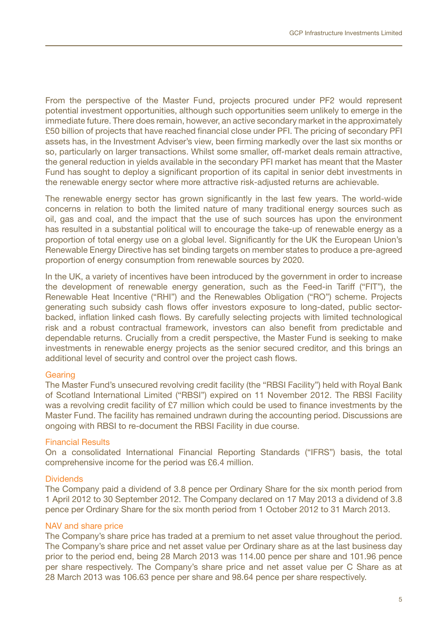From the perspective of the Master Fund, projects procured under PF2 would represent potential investment opportunities, although such opportunities seem unlikely to emerge in the immediate future. There does remain, however, an active secondary market in the approximately £50 billion of projects that have reached financial close under PFI. The pricing of secondary PFI assets has, in the Investment Adviser's view, been firming markedly over the last six months or so, particularly on larger transactions. Whilst some smaller, off-market deals remain attractive, the general reduction in yields available in the secondary PFI market has meant that the Master Fund has sought to deploy a significant proportion of its capital in senior debt investments in the renewable energy sector where more attractive risk-adjusted returns are achievable.

The renewable energy sector has grown significantly in the last few years. The world-wide concerns in relation to both the limited nature of many traditional energy sources such as oil, gas and coal, and the impact that the use of such sources has upon the environment has resulted in a substantial political will to encourage the take-up of renewable energy as a proportion of total energy use on a global level. Significantly for the UK the European Union's Renewable Energy Directive has set binding targets on member states to produce a pre-agreed proportion of energy consumption from renewable sources by 2020.

In the UK, a variety of incentives have been introduced by the government in order to increase the development of renewable energy generation, such as the Feed-in Tariff ("FIT"), the Renewable Heat Incentive ("RHI") and the Renewables Obligation ("RO") scheme. Projects generating such subsidy cash flows offer investors exposure to long-dated, public sectorbacked, inflation linked cash flows. By carefully selecting projects with limited technological risk and a robust contractual framework, investors can also benefit from predictable and dependable returns. Crucially from a credit perspective, the Master Fund is seeking to make investments in renewable energy projects as the senior secured creditor, and this brings an additional level of security and control over the project cash flows.

#### **Gearing**

The Master Fund's unsecured revolving credit facility (the "RBSI Facility") held with Royal Bank of Scotland International Limited ("RBSI") expired on 11 November 2012. The RBSI Facility was a revolving credit facility of £7 million which could be used to finance investments by the Master Fund. The facility has remained undrawn during the accounting period. Discussions are ongoing with RBSI to re-document the RBSI Facility in due course.

#### Financial Results

On a consolidated International Financial Reporting Standards ("IFRS") basis, the total comprehensive income for the period was £6.4 million.

#### **Dividends**

The Company paid a dividend of 3.8 pence per Ordinary Share for the six month period from 1 April 2012 to 30 September 2012. The Company declared on 17 May 2013 a dividend of 3.8 pence per Ordinary Share for the six month period from 1 October 2012 to 31 March 2013.

#### NAV and share price

The Company's share price has traded at a premium to net asset value throughout the period. The Company's share price and net asset value per Ordinary share as at the last business day prior to the period end, being 28 March 2013 was 114.00 pence per share and 101.96 pence per share respectively. The Company's share price and net asset value per C Share as at 28 March 2013 was 106.63 pence per share and 98.64 pence per share respectively.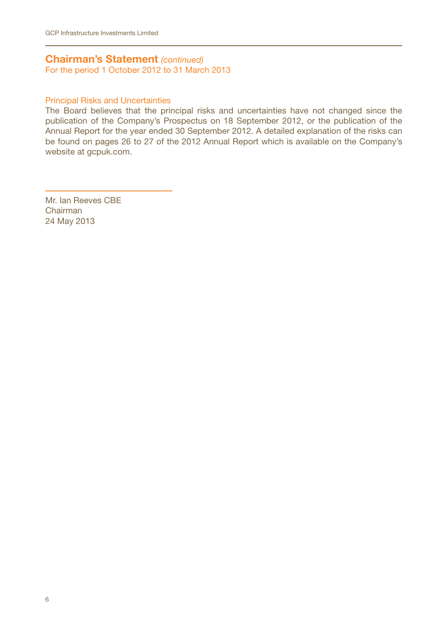## **Chairman's Statement** *(continued)*

For the period 1 October 2012 to 31 March 2013

### Principal Risks and Uncertainties

The Board believes that the principal risks and uncertainties have not changed since the publication of the Company's Prospectus on 18 September 2012, or the publication of the Annual Report for the year ended 30 September 2012. A detailed explanation of the risks can be found on pages 26 to 27 of the 2012 Annual Report which is available on the Company's website at gcpuk.com.

Mr. Ian Reeves CBE Chairman 24 May 2013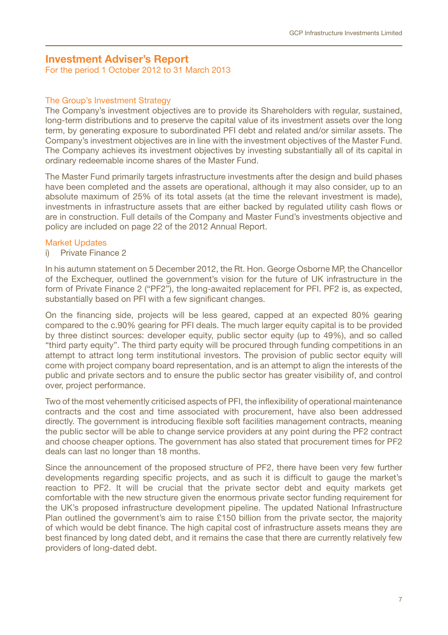## **Investment Adviser's Report**

For the period 1 October 2012 to 31 March 2013

### The Group's Investment Strategy

The Company's investment objectives are to provide its Shareholders with regular, sustained, long-term distributions and to preserve the capital value of its investment assets over the long term, by generating exposure to subordinated PFI debt and related and/or similar assets. The Company's investment objectives are in line with the investment objectives of the Master Fund. The Company achieves its investment objectives by investing substantially all of its capital in ordinary redeemable income shares of the Master Fund.

The Master Fund primarily targets infrastructure investments after the design and build phases have been completed and the assets are operational, although it may also consider, up to an absolute maximum of 25% of its total assets (at the time the relevant investment is made), investments in infrastructure assets that are either backed by regulated utility cash flows or are in construction. Full details of the Company and Master Fund's investments objective and policy are included on page 22 of the 2012 Annual Report.

#### Market Updates

## i) Private Finance 2

In his autumn statement on 5 December 2012, the Rt. Hon. George Osborne MP, the Chancellor of the Exchequer, outlined the government's vision for the future of UK infrastructure in the form of Private Finance 2 ("PF2"), the long-awaited replacement for PFI. PF2 is, as expected, substantially based on PFI with a few significant changes.

On the financing side, projects will be less geared, capped at an expected 80% gearing compared to the c.90% gearing for PFI deals. The much larger equity capital is to be provided by three distinct sources: developer equity, public sector equity (up to 49%), and so called "third party equity". The third party equity will be procured through funding competitions in an attempt to attract long term institutional investors. The provision of public sector equity will come with project company board representation, and is an attempt to align the interests of the public and private sectors and to ensure the public sector has greater visibility of, and control over, project performance.

Two of the most vehemently criticised aspects of PFI, the inflexibility of operational maintenance contracts and the cost and time associated with procurement, have also been addressed directly. The government is introducing flexible soft facilities management contracts, meaning the public sector will be able to change service providers at any point during the PF2 contract and choose cheaper options. The government has also stated that procurement times for PF2 deals can last no longer than 18 months.

Since the announcement of the proposed structure of PF2, there have been very few further developments regarding specific projects, and as such it is difficult to gauge the market's reaction to PF2. It will be crucial that the private sector debt and equity markets get comfortable with the new structure given the enormous private sector funding requirement for the UK's proposed infrastructure development pipeline. The updated National Infrastructure Plan outlined the government's aim to raise £150 billion from the private sector, the majority of which would be debt finance. The high capital cost of infrastructure assets means they are best financed by long dated debt, and it remains the case that there are currently relatively few providers of long-dated debt.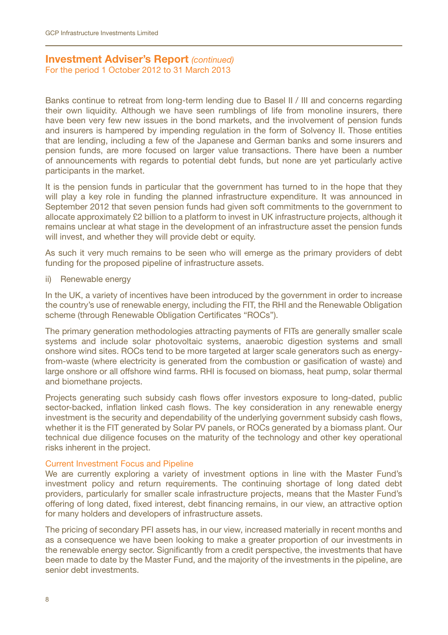## **Investment Adviser's Report** *(continued)*

For the period 1 October 2012 to 31 March 2013

Banks continue to retreat from long-term lending due to Basel II / III and concerns regarding their own liquidity. Although we have seen rumblings of life from monoline insurers, there have been very few new issues in the bond markets, and the involvement of pension funds and insurers is hampered by impending regulation in the form of Solvency II. Those entities that are lending, including a few of the Japanese and German banks and some insurers and pension funds, are more focused on larger value transactions. There have been a number of announcements with regards to potential debt funds, but none are yet particularly active participants in the market.

It is the pension funds in particular that the government has turned to in the hope that they will play a key role in funding the planned infrastructure expenditure. It was announced in September 2012 that seven pension funds had given soft commitments to the government to allocate approximately £2 billion to a platform to invest in UK infrastructure projects, although it remains unclear at what stage in the development of an infrastructure asset the pension funds will invest, and whether they will provide debt or equity.

As such it very much remains to be seen who will emerge as the primary providers of debt funding for the proposed pipeline of infrastructure assets.

ii) Renewable energy

In the UK, a variety of incentives have been introduced by the government in order to increase the country's use of renewable energy, including the FIT, the RHI and the Renewable Obligation scheme (through Renewable Obligation Certificates "ROCs").

The primary generation methodologies attracting payments of FITs are generally smaller scale systems and include solar photovoltaic systems, anaerobic digestion systems and small onshore wind sites. ROCs tend to be more targeted at larger scale generators such as energyfrom-waste (where electricity is generated from the combustion or gasification of waste) and large onshore or all offshore wind farms. RHI is focused on biomass, heat pump, solar thermal and biomethane projects.

Projects generating such subsidy cash flows offer investors exposure to long-dated, public sector-backed, inflation linked cash flows. The key consideration in any renewable energy investment is the security and dependability of the underlying government subsidy cash flows, whether it is the FIT generated by Solar PV panels, or ROCs generated by a biomass plant. Our technical due diligence focuses on the maturity of the technology and other key operational risks inherent in the project.

#### Current Investment Focus and Pipeline

We are currently exploring a variety of investment options in line with the Master Fund's investment policy and return requirements. The continuing shortage of long dated debt providers, particularly for smaller scale infrastructure projects, means that the Master Fund's offering of long dated, fixed interest, debt financing remains, in our view, an attractive option for many holders and developers of infrastructure assets.

The pricing of secondary PFI assets has, in our view, increased materially in recent months and as a consequence we have been looking to make a greater proportion of our investments in the renewable energy sector. Significantly from a credit perspective, the investments that have been made to date by the Master Fund, and the majority of the investments in the pipeline, are senior debt investments.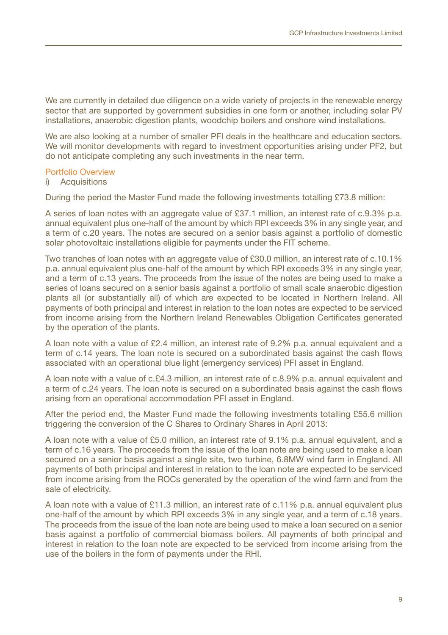We are currently in detailed due diligence on a wide variety of projects in the renewable energy sector that are supported by government subsidies in one form or another, including solar PV installations, anaerobic digestion plants, woodchip boilers and onshore wind installations.

We are also looking at a number of smaller PFI deals in the healthcare and education sectors. We will monitor developments with regard to investment opportunities arising under PF2, but do not anticipate completing any such investments in the near term.

#### Portfolio Overview

## i) Acquisitions

During the period the Master Fund made the following investments totalling £73.8 million:

A series of loan notes with an aggregate value of £37.1 million, an interest rate of c.9.3% p.a. annual equivalent plus one-half of the amount by which RPI exceeds 3% in any single year, and a term of c.20 years. The notes are secured on a senior basis against a portfolio of domestic solar photovoltaic installations eligible for payments under the FIT scheme.

Two tranches of loan notes with an aggregate value of £30.0 million, an interest rate of c.10.1% p.a. annual equivalent plus one-half of the amount by which RPI exceeds 3% in any single year, and a term of c.13 years. The proceeds from the issue of the notes are being used to make a series of loans secured on a senior basis against a portfolio of small scale anaerobic digestion plants all (or substantially all) of which are expected to be located in Northern Ireland. All payments of both principal and interest in relation to the loan notes are expected to be serviced from income arising from the Northern Ireland Renewables Obligation Certificates generated by the operation of the plants.

A loan note with a value of £2.4 million, an interest rate of 9.2% p.a. annual equivalent and a term of c.14 years. The loan note is secured on a subordinated basis against the cash flows associated with an operational blue light (emergency services) PFI asset in England.

A loan note with a value of c.£4.3 million, an interest rate of c.8.9% p.a. annual equivalent and a term of c.24 years. The loan note is secured on a subordinated basis against the cash flows arising from an operational accommodation PFI asset in England.

After the period end, the Master Fund made the following investments totalling £55.6 million triggering the conversion of the C Shares to Ordinary Shares in April 2013:

A loan note with a value of £5.0 million, an interest rate of 9.1% p.a. annual equivalent, and a term of c.16 years. The proceeds from the issue of the loan note are being used to make a loan secured on a senior basis against a single site, two turbine, 6.8MW wind farm in England. All payments of both principal and interest in relation to the loan note are expected to be serviced from income arising from the ROCs generated by the operation of the wind farm and from the sale of electricity.

A loan note with a value of £11.3 million, an interest rate of c.11% p.a. annual equivalent plus one-half of the amount by which RPI exceeds 3% in any single year, and a term of c.18 years. The proceeds from the issue of the loan note are being used to make a loan secured on a senior basis against a portfolio of commercial biomass boilers. All payments of both principal and interest in relation to the loan note are expected to be serviced from income arising from the use of the boilers in the form of payments under the RHI.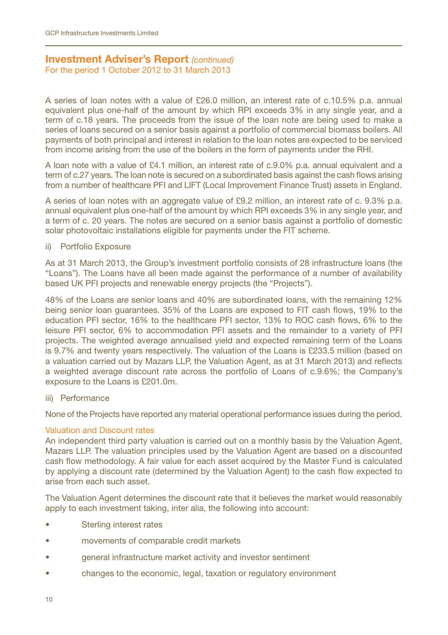# **Investment Adviser's Report** *(continued)*

For the period 1 October 2012 to 31 March 2013

A series of loan notes with a value of £26.0 million, an interest rate of c.10.5% p.a. annual equivalent plus one-half of the amount by which RPI exceeds 3% in any single year, and a term of c.18 years. The proceeds from the issue of the loan note are being used to make a series of loans secured on a senior basis against a portfolio of commercial biomass boilers. All payments of both principal and interest in relation to the loan notes are expected to be serviced from income arising from the use of the boilers in the form of payments under the RHI.

A loan note with a value of £4.1 million, an interest rate of c.9.0% p.a. annual equivalent and a term of c.27 years. The loan note is secured on a subordinated basis against the cash flows arising from a number of healthcare PFI and LIFT (Local Improvement Finance Trust) assets in England.

A series of loan notes with an aggregate value of £9.2 million, an interest rate of c. 9.3% p.a. annual equivalent plus one-half of the amount by which RPI exceeds 3% in any single year, and a term of c. 20 years. The notes are secured on a senior basis against a portfolio of domestic solar photovoltaic installations eligible for payments under the FIT scheme.

#### ii) Portfolio Exposure

As at 31 March 2013, the Group's investment portfolio consists of 28 infrastructure loans (the "Loans"). The Loans have all been made against the performance of a number of availability based UK PFI projects and renewable energy projects (the "Projects").

48% of the Loans are senior loans and 40% are subordinated loans, with the remaining 12% being senior loan guarantees. 35% of the Loans are exposed to FIT cash flows, 19% to the education PFI sector, 16% to the healthcare PFI sector, 13% to ROC cash flows, 6% to the leisure PFI sector, 6% to accommodation PFI assets and the remainder to a variety of PFI projects. The weighted average annualised yield and expected remaining term of the Loans is 9.7% and twenty years respectively. The valuation of the Loans is £233.5 million (based on a valuation carried out by Mazars LLP, the Valuation Agent, as at 31 March 2013) and reflects a weighted average discount rate across the portfolio of Loans of c.9.6%; the Company's exposure to the Loans is £201.0m.

### iii) Performance

None of the Projects have reported any material operational performance issues during the period.

#### Valuation and Discount rates

An independent third party valuation is carried out on a monthly basis by the Valuation Agent, Mazars LLP. The valuation principles used by the Valuation Agent are based on a discounted cash flow methodology. A fair value for each asset acquired by the Master Fund is calculated by applying a discount rate (determined by the Valuation Agent) to the cash flow expected to arise from each such asset.

The Valuation Agent determines the discount rate that it believes the market would reasonably apply to each investment taking, inter alia, the following into account:

- Sterling interest rates
- movements of comparable credit markets
- general infrastructure market activity and investor sentiment
- changes to the economic, legal, taxation or regulatory environment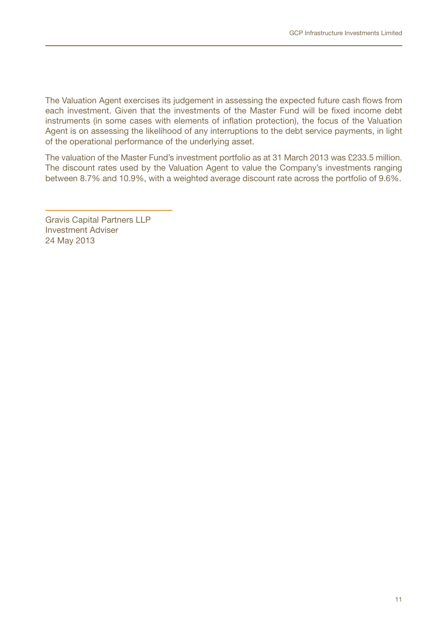The Valuation Agent exercises its judgement in assessing the expected future cash flows from each investment. Given that the investments of the Master Fund will be fixed income debt instruments (in some cases with elements of inflation protection), the focus of the Valuation Agent is on assessing the likelihood of any interruptions to the debt service payments, in light of the operational performance of the underlying asset.

The valuation of the Master Fund's investment portfolio as at 31 March 2013 was £233.5 million. The discount rates used by the Valuation Agent to value the Company's investments ranging between 8.7% and 10.9%, with a weighted average discount rate across the portfolio of 9.6%.

Gravis Capital Partners LLP Investment Adviser 24 May 2013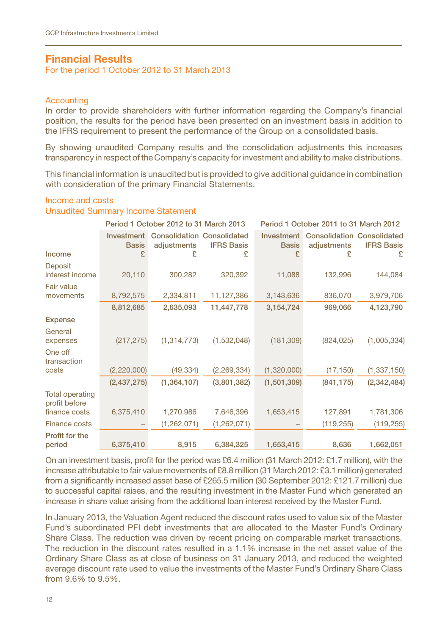## **Financial Results**

For the period 1 October 2012 to 31 March 2013

#### **Accounting**

In order to provide shareholders with further information regarding the Company's financial position, the results for the period have been presented on an investment basis in addition to the IFRS requirement to present the performance of the Group on a consolidated basis.

By showing unaudited Company results and the consolidation adjustments this increases transparency in respect of the Company's capacity for investment and ability to make distributions.

This financial information is unaudited but is provided to give additional guidance in combination with consideration of the primary Financial Statements.

## Income and costs

## Unaudited Summary Income Statement

|                                         | Period 1 October 2012 to 31 March 2013 |                                                  | Period 1 October 2011 to 31 March 2012 |                            |                                                  |                   |
|-----------------------------------------|----------------------------------------|--------------------------------------------------|----------------------------------------|----------------------------|--------------------------------------------------|-------------------|
|                                         | Investment<br><b>Basis</b>             | <b>Consolidation Consolidated</b><br>adjustments | <b>IFRS Basis</b>                      | Investment<br><b>Basis</b> | <b>Consolidation Consolidated</b><br>adjustments | <b>IFRS Basis</b> |
| Income                                  | £                                      | £                                                | £                                      | £                          | £                                                | £                 |
| Deposit<br>interest income              | 20,110                                 | 300,282                                          | 320,392                                | 11,088                     | 132,996                                          | 144,084           |
| Fair value                              |                                        |                                                  |                                        |                            |                                                  |                   |
| movements                               | 8,792,575                              | 2,334,811                                        | 11,127,386                             | 3,143,636                  | 836,070                                          | 3,979,706         |
|                                         | 8,812,685                              | 2,635,093                                        | 11,447,778                             | 3,154,724                  | 969,066                                          | 4,123,790         |
| <b>Expense</b>                          |                                        |                                                  |                                        |                            |                                                  |                   |
| General<br>expenses                     | (217, 275)                             | (1, 314, 773)                                    | (1,532,048)                            | (181, 309)                 | (824, 025)                                       | (1,005,334)       |
| One off<br>transaction                  |                                        |                                                  |                                        |                            |                                                  |                   |
| costs                                   | (2,220,000)                            | (49, 334)                                        | (2, 269, 334)                          | (1,320,000)                | (17, 150)                                        | (1, 337, 150)     |
|                                         | (2,437,275)                            | (1, 364, 107)                                    | (3,801,382)                            | (1,501,309)                | (841, 175)                                       | (2,342,484)       |
| <b>Total operating</b><br>profit before |                                        |                                                  |                                        |                            |                                                  |                   |
| finance costs                           | 6,375,410                              | 1,270,986                                        | 7,646,396                              | 1,653,415                  | 127,891                                          | 1,781,306         |
| <b>Finance costs</b>                    |                                        | (1,262,071)                                      | (1,262,071)                            |                            | (119, 255)                                       | (119, 255)        |
| Profit for the<br>period                | 6,375,410                              | 8,915                                            | 6,384,325                              | 1,653,415                  | 8,636                                            | 1,662,051         |

On an investment basis, profit for the period was £6.4 million (31 March 2012: £1.7 million), with the increase attributable to fair value movements of £8.8 million (31 March 2012: £3.1 million) generated from a significantly increased asset base of £265.5 million (30 September 2012: £121.7 million) due to successful capital raises, and the resulting investment in the Master Fund which generated an increase in share value arising from the additional loan interest received by the Master Fund.

In January 2013, the Valuation Agent reduced the discount rates used to value six of the Master Fund's subordinated PFI debt investments that are allocated to the Master Fund's Ordinary Share Class. The reduction was driven by recent pricing on comparable market transactions. The reduction in the discount rates resulted in a 1.1% increase in the net asset value of the Ordinary Share Class as at close of business on 31 January 2013, and reduced the weighted average discount rate used to value the investments of the Master Fund's Ordinary Share Class from 9.6% to 9.5%.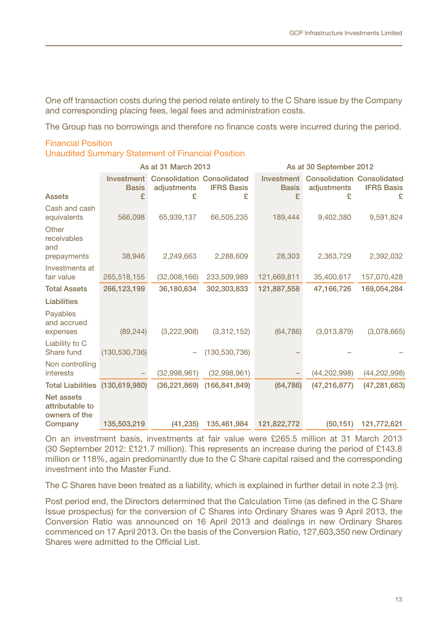One off transaction costs during the period relate entirely to the C Share issue by the Company and corresponding placing fees, legal fees and administration costs.

The Group has no borrowings and therefore no finance costs were incurred during the period.

# Financial Position

Unaudited Summary Statement of Financial Position

|                                                | As at 31 March 2013             |                                                       |                        | As at 30 September 2012         |                                                       |                        |
|------------------------------------------------|---------------------------------|-------------------------------------------------------|------------------------|---------------------------------|-------------------------------------------------------|------------------------|
| <b>Assets</b>                                  | Investment<br><b>Basis</b><br>£ | <b>Consolidation Consolidated</b><br>adjustments<br>£ | <b>IFRS Basis</b><br>£ | Investment<br><b>Basis</b><br>£ | <b>Consolidation Consolidated</b><br>adjustments<br>£ | <b>IFRS Basis</b><br>£ |
| Cash and cash<br>equivalents                   | 566,098                         | 65.939.137                                            | 66,505,235             | 189,444                         | 9,402,380                                             | 9,591,824              |
| Other<br>receivables<br>and                    |                                 |                                                       |                        |                                 |                                                       |                        |
| prepayments<br>Investments at                  | 38,946                          | 2,249,663                                             | 2,288,609              | 28,303                          | 2,363,729                                             | 2,392,032              |
| fair value                                     | 265,518,155                     | (32,008,166)                                          | 233,509,989            | 121,669,811                     | 35,400,617                                            | 157,070,428            |
| <b>Total Assets</b>                            | 266,123,199                     | 36.180.634                                            | 302,303,833            | 121,887,558                     | 47.166.726                                            | 169,054,284            |
| Liabilities                                    |                                 |                                                       |                        |                                 |                                                       |                        |
| Payables<br>and accrued<br>expenses            | (89, 244)                       | (3,222,908)                                           | (3,312,152)            | (64, 786)                       | (3,013,879)                                           | (3,078,665)            |
| Liability to C<br>Share fund                   | (130, 530, 736)                 |                                                       | (130, 530, 736)        |                                 |                                                       |                        |
| Non controlling<br>interests                   |                                 | (32,998,961)                                          | (32,998,961)           |                                 | (44, 202, 998)                                        | (44, 202, 998)         |
| <b>Total Liabilities</b>                       | (130,619,980)                   | (36, 221, 869)                                        | (166, 841, 849)        | (64, 786)                       | (47, 216, 877)                                        | (47, 281, 663)         |
| Net assets<br>attributable to<br>owners of the |                                 |                                                       |                        |                                 |                                                       |                        |
| Company                                        | 135,503,219                     | (41, 235)                                             | 135,461,984            | 121,822,772                     | (50, 151)                                             | 121,772,621            |

On an investment basis, investments at fair value were £265.5 million at 31 March 2013 (30 September 2012: £121.7 million). This represents an increase during the period of £143.8 million or 118%, again predominantly due to the C Share capital raised and the corresponding investment into the Master Fund.

The C Shares have been treated as a liability, which is explained in further detail in note 2.3 (m).

Post period end, the Directors determined that the Calculation Time (as defined in the C Share Issue prospectus) for the conversion of C Shares into Ordinary Shares was 9 April 2013, the Conversion Ratio was announced on 16 April 2013 and dealings in new Ordinary Shares commenced on 17 April 2013. On the basis of the Conversion Ratio, 127,603,350 new Ordinary Shares were admitted to the Official List.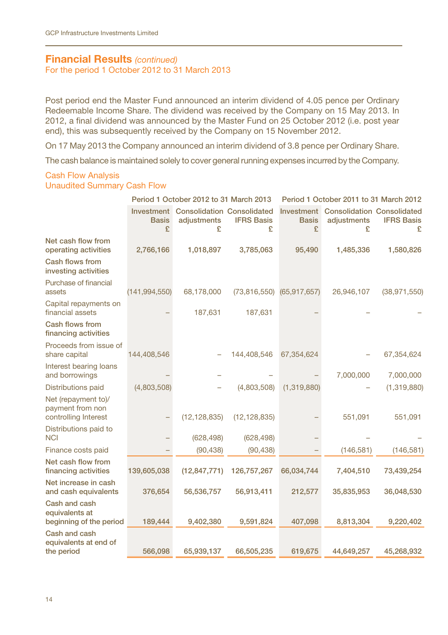## **Financial Results** *(continued)*

For the period 1 October 2012 to 31 March 2013

Post period end the Master Fund announced an interim dividend of 4.05 pence per Ordinary Redeemable Income Share. The dividend was received by the Company on 15 May 2013. In 2012, a final dividend was announced by the Master Fund on 25 October 2012 (i.e. post year end), this was subsequently received by the Company on 15 November 2012.

On 17 May 2013 the Company announced an interim dividend of 3.8 pence per Ordinary Share.

The cash balance is maintained solely to cover general running expenses incurred by the Company.

#### Cash Flow Analysis Unaudited Summary Cash Flow

|                                                                 |                 | Period 1 October 2012 to 31 March 2013                           |                           | Period 1 October 2011 to 31 March 2012 |                                                                  |                        |
|-----------------------------------------------------------------|-----------------|------------------------------------------------------------------|---------------------------|----------------------------------------|------------------------------------------------------------------|------------------------|
|                                                                 | Basis<br>£      | <b>Investment</b> Consolidation Consolidated<br>adjustments<br>£ | <b>IFRS Basis</b><br>£    | <b>Basis</b><br>£                      | <b>Investment</b> Consolidation Consolidated<br>adjustments<br>£ | <b>IFRS Basis</b><br>£ |
| Net cash flow from<br>operating activities                      | 2,766,166       | 1,018,897                                                        | 3,785,063                 | 95,490                                 | 1,485,336                                                        | 1,580,826              |
| Cash flows from<br>investing activities                         |                 |                                                                  |                           |                                        |                                                                  |                        |
| Purchase of financial<br>assets                                 | (141, 994, 550) | 68,178,000                                                       | (73,816,550) (65,917,657) |                                        | 26,946,107                                                       | (38, 971, 550)         |
| Capital repayments on<br>financial assets                       |                 | 187,631                                                          | 187,631                   |                                        |                                                                  |                        |
| Cash flows from<br>financing activities                         |                 |                                                                  |                           |                                        |                                                                  |                        |
| Proceeds from issue of<br>share capital                         | 144,408,546     |                                                                  | 144,408,546               | 67,354,624                             |                                                                  | 67,354,624             |
| Interest bearing loans<br>and borrowings                        |                 |                                                                  |                           |                                        | 7,000,000                                                        | 7,000,000              |
| Distributions paid                                              | (4,803,508)     |                                                                  | (4,803,508)               | (1,319,880)                            |                                                                  | (1,319,880)            |
| Net (repayment to)/<br>payment from non<br>controlling Interest |                 | (12, 128, 835)                                                   | (12, 128, 835)            |                                        | 551,091                                                          | 551,091                |
| Distributions paid to<br><b>NCI</b>                             |                 | (628, 498)                                                       | (628, 498)                |                                        |                                                                  |                        |
| Finance costs paid                                              |                 | (90, 438)                                                        | (90, 438)                 |                                        | (146, 581)                                                       | (146, 581)             |
| Net cash flow from<br>financing activities                      | 139,605,038     | (12, 847, 771)                                                   | 126,757,267               | 66,034,744                             | 7,404,510                                                        | 73,439,254             |
| Net increase in cash<br>and cash equivalents                    | 376,654         | 56,536,757                                                       | 56,913,411                | 212,577                                | 35,835,953                                                       | 36,048,530             |
| Cash and cash<br>equivalents at<br>beginning of the period      | 189,444         | 9,402,380                                                        | 9,591,824                 | 407,098                                | 8,813,304                                                        | 9,220,402              |
| Cash and cash<br>equivalents at end of                          |                 |                                                                  |                           |                                        |                                                                  |                        |
| the period                                                      | 566,098         | 65,939,137                                                       | 66,505,235                | 619,675                                | 44,649,257                                                       | 45,268,932             |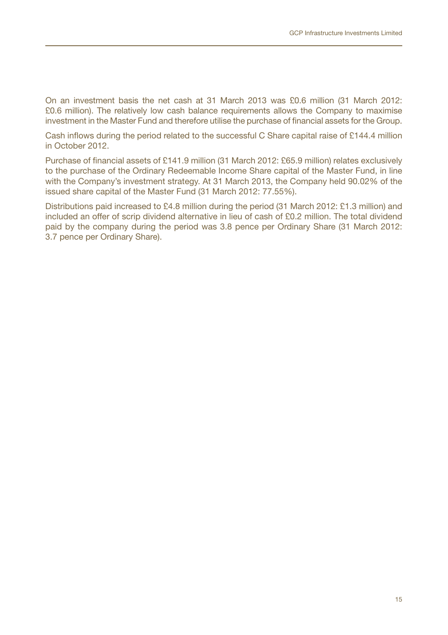On an investment basis the net cash at 31 March 2013 was £0.6 million (31 March 2012: £0.6 million). The relatively low cash balance requirements allows the Company to maximise investment in the Master Fund and therefore utilise the purchase of financial assets for the Group.

Cash inflows during the period related to the successful C Share capital raise of £144.4 million in October 2012.

Purchase of financial assets of £141.9 million (31 March 2012: £65.9 million) relates exclusively to the purchase of the Ordinary Redeemable Income Share capital of the Master Fund, in line with the Company's investment strategy. At 31 March 2013, the Company held 90.02% of the issued share capital of the Master Fund (31 March 2012: 77.55%).

Distributions paid increased to £4.8 million during the period (31 March 2012: £1.3 million) and included an offer of scrip dividend alternative in lieu of cash of £0.2 million. The total dividend paid by the company during the period was 3.8 pence per Ordinary Share (31 March 2012: 3.7 pence per Ordinary Share).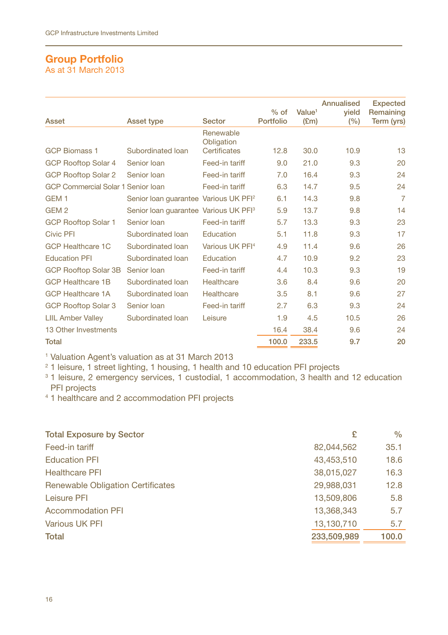## **Group Portfolio** As at 31 March 2013

|                                           |                                                   |                             |           |                    | Annualised | <b>Expected</b> |
|-------------------------------------------|---------------------------------------------------|-----------------------------|-----------|--------------------|------------|-----------------|
|                                           |                                                   |                             | $%$ of    | Value <sup>1</sup> | vield      | Remaining       |
| Asset                                     | Asset type                                        | Sector                      | Portfolio | E(m)               | (%)        | Term (yrs)      |
|                                           |                                                   | Renewable                   |           |                    |            |                 |
| <b>GCP Biomass 1</b>                      | Subordinated Ioan                                 | Obligation<br>Certificates  | 12.8      | 30.0               | 10.9       | 13              |
| GCP Rooftop Solar 4                       | Senior Ioan                                       | Feed-in tariff              | 9.0       | 21.0               | 9.3        | 20              |
| <b>GCP Rooftop Solar 2</b>                | Senior Ioan                                       | Feed-in tariff              | 7.0       | 16.4               | 9.3        | 24              |
| <b>GCP Commercial Solar 1 Senior Ioan</b> |                                                   | Feed-in tariff              | 6.3       | 14.7               | 9.5        | 24              |
| GEM <sub>1</sub>                          | Senior Ioan quarantee Various UK PFI <sup>2</sup> |                             | 6.1       | 14.3               | 9.8        | 7               |
| GEM <sub>2</sub>                          | Senior loan guarantee Various UK PFI <sup>3</sup> |                             | 5.9       | 13.7               | 9.8        | 14              |
| GCP Rooftop Solar 1                       | Senior Ioan                                       | Feed-in tariff              | 5.7       | 13.3               | 9.3        | 23              |
| <b>Civic PFI</b>                          | Subordinated loan                                 | Education                   | 5.1       | 11.8               | 9.3        | 17              |
| <b>GCP Healthcare 1C</b>                  | Subordinated loan                                 | Various UK PFI <sup>4</sup> | 4.9       | 11.4               | 9.6        | 26              |
| <b>Education PFI</b>                      | Subordinated loan                                 | Education                   | 4.7       | 10.9               | 9.2        | 23              |
| <b>GCP Rooftop Solar 3B</b>               | Senior Ioan                                       | Feed-in tariff              | 4.4       | 10.3               | 9.3        | 19              |
| <b>GCP Healthcare 1B</b>                  | Subordinated Ioan                                 | Healthcare                  | 3.6       | 8.4                | 9.6        | 20              |
| <b>GCP Healthcare 1A</b>                  | Subordinated Ioan                                 | Healthcare                  | 3.5       | 8.1                | 9.6        | 27              |
| <b>GCP Rooftop Solar 3</b>                | Senior Ioan                                       | Feed-in tariff              | 2.7       | 6.3                | 9.3        | 24              |
| <b>LIIL Amber Valley</b>                  | Subordinated Ioan                                 | Leisure                     | 1.9       | 4.5                | 10.5       | 26              |
| 13 Other Investments                      |                                                   |                             | 16.4      | 38.4               | 9.6        | 24              |
| Total                                     |                                                   |                             | 100.0     | 233.5              | 9.7        | 20              |

<sup>1</sup> Valuation Agent's valuation as at 31 March 2013

<sup>2</sup> 1 leisure, 1 street lighting, 1 housing, 1 health and 10 education PFI projects

<sup>3</sup> 1 leisure, 2 emergency services, 1 custodial, 1 accommodation, 3 health and 12 education PFI projects

4 1 healthcare and 2 accommodation PFI projects

| <b>Total Exposure by Sector</b>          | £           | $\%$  |
|------------------------------------------|-------------|-------|
| Feed-in tariff                           | 82.044.562  | 35.1  |
| <b>Education PFI</b>                     | 43,453,510  | 18.6  |
| <b>Healthcare PFI</b>                    | 38,015,027  | 16.3  |
| <b>Renewable Obligation Certificates</b> | 29,988,031  | 12.8  |
| Leisure PFI                              | 13,509,806  | 5.8   |
| Accommodation PFI                        | 13,368,343  | 5.7   |
| Various UK PFI                           | 13.130.710  | 5.7   |
| Total                                    | 233,509,989 | 100.0 |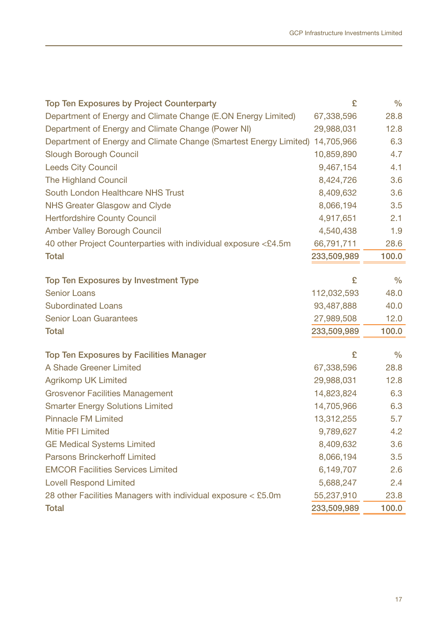| <b>Top Ten Exposures by Project Counterparty</b>                             | £           | $\frac{0}{0}$ |
|------------------------------------------------------------------------------|-------------|---------------|
| Department of Energy and Climate Change (E.ON Energy Limited)                | 67,338,596  | 28.8          |
| Department of Energy and Climate Change (Power NI)                           | 29,988,031  | 12.8          |
| Department of Energy and Climate Change (Smartest Energy Limited) 14,705,966 |             | 6.3           |
| Slough Borough Council                                                       | 10,859,890  | 4.7           |
| <b>Leeds City Council</b>                                                    | 9,467,154   | 4.1           |
| The Highland Council                                                         | 8,424,726   | 3.6           |
| South London Healthcare NHS Trust                                            | 8,409,632   | 3.6           |
| NHS Greater Glasgow and Clyde                                                | 8,066,194   | 3.5           |
| <b>Hertfordshire County Council</b>                                          | 4,917,651   | 2.1           |
| Amber Valley Borough Council                                                 | 4,540,438   | 1.9           |
| 40 other Project Counterparties with individual exposure <£4.5m              | 66,791,711  | 28.6          |
| <b>Total</b>                                                                 | 233,509,989 | 100.0         |
|                                                                              |             |               |
| Top Ten Exposures by Investment Type                                         | £           | $\frac{0}{0}$ |
| Senior Loans                                                                 | 112,032,593 | 48.0          |
| <b>Subordinated Loans</b>                                                    | 93,487,888  | 40.0          |
| <b>Senior Loan Guarantees</b>                                                | 27,989,508  | 12.0          |
| <b>Total</b>                                                                 | 233,509,989 | 100.0         |
| Top Ten Exposures by Facilities Manager                                      | £           | $\frac{0}{0}$ |
| A Shade Greener Limited                                                      | 67,338,596  | 28.8          |
| Agrikomp UK Limited                                                          | 29,988,031  | 12.8          |
| <b>Grosvenor Facilities Management</b>                                       | 14,823,824  | 6.3           |
| <b>Smarter Energy Solutions Limited</b>                                      | 14,705,966  | 6.3           |
| <b>Pinnacle FM Limited</b>                                                   | 13,312,255  | 5.7           |
| Mitie PFI Limited                                                            | 9,789,627   | 4.2           |
| <b>GE Medical Systems Limited</b>                                            | 8,409,632   | 3.6           |
| <b>Parsons Brinckerhoff Limited</b>                                          | 8,066,194   | 3.5           |
| <b>EMCOR Facilities Services Limited</b>                                     | 6,149,707   | 2.6           |
| <b>Lovell Respond Limited</b>                                                | 5,688,247   | 2.4           |
| 28 other Facilities Managers with individual exposure < £5.0m                | 55,237,910  | 23.8          |
| <b>Total</b>                                                                 | 233,509,989 | 100.0         |
|                                                                              |             |               |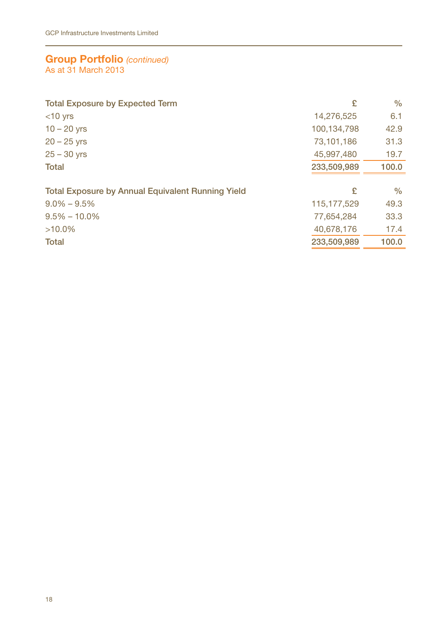## **Group Portfolio** *(continued)* As at 31 March 2013

| <b>Total Exposure by Expected Term</b>                   | £             | $\%$  |
|----------------------------------------------------------|---------------|-------|
| $<$ 10 yrs                                               | 14,276,525    | 6.1   |
| $10 - 20$ yrs                                            | 100.134.798   | 42.9  |
| $20 - 25$ yrs                                            | 73,101,186    | 31.3  |
| $25 - 30$ yrs                                            | 45.997.480    | 19.7  |
| <b>Total</b>                                             | 233.509.989   | 100.0 |
|                                                          |               |       |
| <b>Total Exposure by Annual Equivalent Running Yield</b> | £             | $\%$  |
| $9.0\% - 9.5\%$                                          | 115, 177, 529 | 49.3  |
| $9.5\% - 10.0\%$                                         | 77,654,284    | 33.3  |
| $>10.0\%$                                                | 40,678,176    | 17.4  |
| <b>Total</b>                                             | 233.509.989   | 100.0 |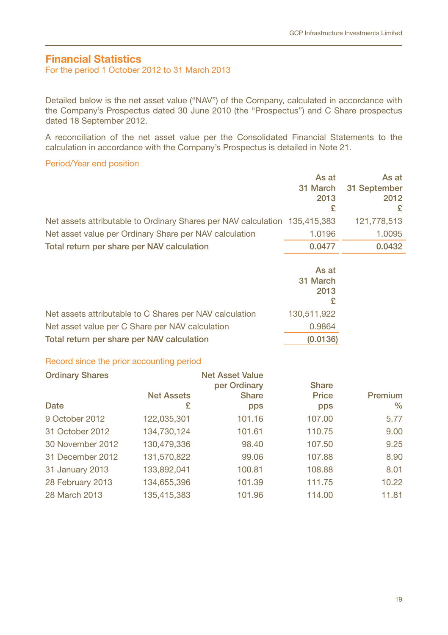# **Financial Statistics**

For the period 1 October 2012 to 31 March 2013

Detailed below is the net asset value ("NAV") of the Company, calculated in accordance with the Company's Prospectus dated 30 June 2010 (the "Prospectus") and C Share prospectus dated 18 September 2012.

A reconciliation of the net asset value per the Consolidated Financial Statements to the calculation in accordance with the Company's Prospectus is detailed in Note 21.

### Period/Year end position

|                                                         |                   |                                                                            | As at<br>31 March<br>2013<br>£ | As at<br>31 September<br>2012<br>£ |
|---------------------------------------------------------|-------------------|----------------------------------------------------------------------------|--------------------------------|------------------------------------|
|                                                         |                   | Net assets attributable to Ordinary Shares per NAV calculation 135,415,383 |                                | 121,778,513                        |
| Net asset value per Ordinary Share per NAV calculation  |                   |                                                                            | 1.0196                         | 1.0095                             |
| Total return per share per NAV calculation              |                   |                                                                            | 0.0477                         | 0.0432                             |
|                                                         |                   |                                                                            | As at<br>31 March<br>2013<br>£ |                                    |
| Net assets attributable to C Shares per NAV calculation |                   |                                                                            | 130,511,922                    |                                    |
| Net asset value per C Share per NAV calculation         | 0.9864            |                                                                            |                                |                                    |
| Total return per share per NAV calculation              |                   |                                                                            | (0.0136)                       |                                    |
| Record since the prior accounting period                |                   |                                                                            |                                |                                    |
| <b>Ordinary Shares</b>                                  |                   | <b>Net Asset Value</b><br>per Ordinary                                     | <b>Share</b>                   |                                    |
|                                                         | <b>Net Assets</b> | <b>Share</b>                                                               | Price                          | <b>Premium</b>                     |
| Date                                                    | £                 | pps                                                                        | pps                            | $\frac{0}{0}$                      |
| 9 October 2012                                          | 122.035.301       | 101.16                                                                     | 107.00                         | 5.77                               |
| 31 October 2012                                         | 134,730,124       | 101.61                                                                     | 110.75                         | 9.00                               |
| 30 November 2012                                        | 130,479,336       | 98.40                                                                      | 107.50                         | 9.25                               |
| 31 December 2012                                        | 131,570,822       | 99.06                                                                      | 107.88                         | 8.90                               |
| 31 January 2013                                         | 133,892,041       | 100.81                                                                     | 108.88                         | 8.01                               |
| 28 February 2013                                        | 134,655,396       | 101.39                                                                     | 111.75                         | 10.22                              |
| 28 March 2013                                           | 135,415,383       | 101.96                                                                     | 114.00                         | 11.81                              |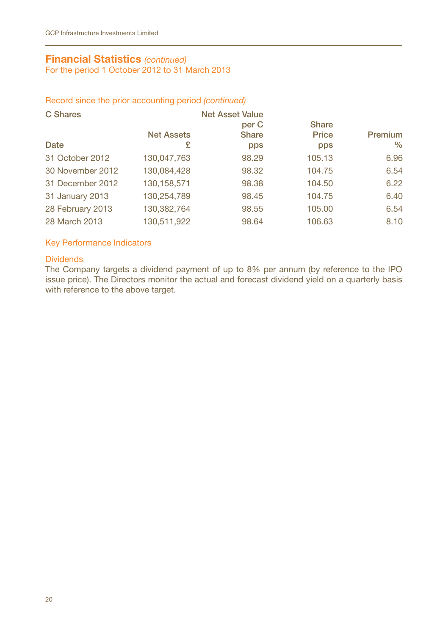# **Financial Statistics** *(continued)*

For the period 1 October 2012 to 31 March 2013

#### Record since the prior accounting period *(continued)*

| C Shares         |                   | <b>Net Asset Value</b><br>per C | <b>Share</b> |                |
|------------------|-------------------|---------------------------------|--------------|----------------|
|                  | <b>Net Assets</b> | <b>Share</b>                    | Price        | <b>Premium</b> |
| Date             | £                 | pps                             | pps          | $\%$           |
| 31 October 2012  | 130,047,763       | 98.29                           | 105.13       | 6.96           |
| 30 November 2012 | 130,084,428       | 98.32                           | 104.75       | 6.54           |
| 31 December 2012 | 130.158.571       | 98.38                           | 104.50       | 6.22           |
| 31 January 2013  | 130,254,789       | 98.45                           | 104.75       | 6.40           |
| 28 February 2013 | 130,382,764       | 98.55                           | 105.00       | 6.54           |
| 28 March 2013    | 130,511,922       | 98.64                           | 106.63       | 8.10           |

## Key Performance Indicators

## **Dividends**

The Company targets a dividend payment of up to 8% per annum (by reference to the IPO issue price). The Directors monitor the actual and forecast dividend yield on a quarterly basis with reference to the above target.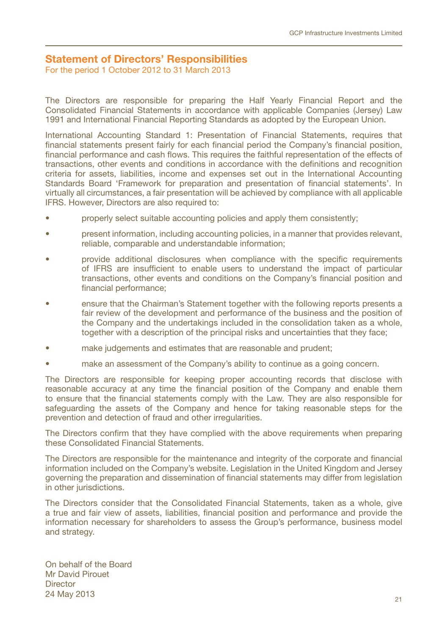# **Statement of Directors' Responsibilities**

For the period 1 October 2012 to 31 March 2013

The Directors are responsible for preparing the Half Yearly Financial Report and the Consolidated Financial Statements in accordance with applicable Companies (Jersey) Law 1991 and International Financial Reporting Standards as adopted by the European Union.

International Accounting Standard 1: Presentation of Financial Statements, requires that financial statements present fairly for each financial period the Company's financial position, financial performance and cash flows. This requires the faithful representation of the effects of transactions, other events and conditions in accordance with the definitions and recognition criteria for assets, liabilities, income and expenses set out in the International Accounting Standards Board 'Framework for preparation and presentation of financial statements'. In virtually all circumstances, a fair presentation will be achieved by compliance with all applicable IFRS. However, Directors are also required to:

- properly select suitable accounting policies and apply them consistently;
- present information, including accounting policies, in a manner that provides relevant, reliable, comparable and understandable information;
- provide additional disclosures when compliance with the specific requirements of IFRS are insufficient to enable users to understand the impact of particular transactions, other events and conditions on the Company's financial position and financial performance;
- ensure that the Chairman's Statement together with the following reports presents a fair review of the development and performance of the business and the position of the Company and the undertakings included in the consolidation taken as a whole, together with a description of the principal risks and uncertainties that they face;
- make judgements and estimates that are reasonable and prudent;
- make an assessment of the Company's ability to continue as a going concern.

The Directors are responsible for keeping proper accounting records that disclose with reasonable accuracy at any time the financial position of the Company and enable them to ensure that the financial statements comply with the Law. They are also responsible for safeguarding the assets of the Company and hence for taking reasonable steps for the prevention and detection of fraud and other irregularities.

The Directors confirm that they have complied with the above requirements when preparing these Consolidated Financial Statements.

The Directors are responsible for the maintenance and integrity of the corporate and financial information included on the Company's website. Legislation in the United Kingdom and Jersey governing the preparation and dissemination of financial statements may differ from legislation in other jurisdictions.

The Directors consider that the Consolidated Financial Statements, taken as a whole, give a true and fair view of assets, liabilities, financial position and performance and provide the information necessary for shareholders to assess the Group's performance, business model and strategy.

On behalf of the Board Mr David Pirouet **Director** 24 May 2013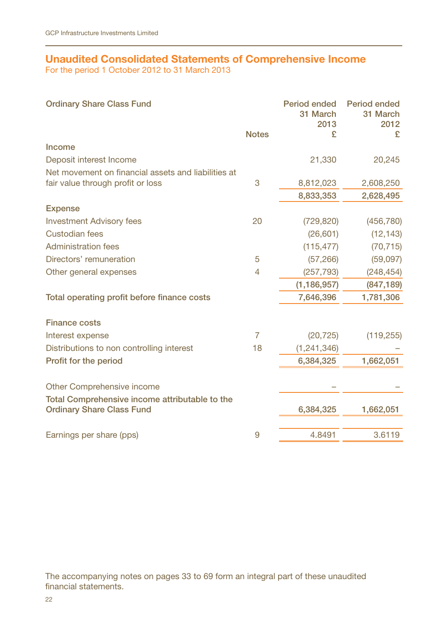# **Unaudited Consolidated Statements of Comprehensive Income**

For the period 1 October 2012 to 31 March 2013

| <b>Ordinary Share Class Fund</b>                    | <b>Notes</b>   | Period ended<br>31 March<br>2013<br>£ | Period ended<br>31 March<br>2012<br>£ |
|-----------------------------------------------------|----------------|---------------------------------------|---------------------------------------|
| Income                                              |                |                                       |                                       |
| Deposit interest Income                             |                | 21,330                                | 20,245                                |
| Net movement on financial assets and liabilities at |                |                                       |                                       |
| fair value through profit or loss                   | 3              | 8,812,023                             | 2,608,250                             |
|                                                     |                | 8,833,353                             | 2,628,495                             |
| <b>Expense</b>                                      |                |                                       |                                       |
| <b>Investment Advisory fees</b>                     | 20             | (729, 820)                            | (456, 780)                            |
| Custodian fees                                      |                | (26, 601)                             | (12, 143)                             |
| Administration fees                                 |                | (115, 477)                            | (70, 715)                             |
| Directors' remuneration                             | 5              | (57, 266)                             | (59,097)                              |
| Other general expenses                              | 4              | (257, 793)                            | (248, 454)                            |
|                                                     |                | (1, 186, 957)                         | (847, 189)                            |
| Total operating profit before finance costs         |                | 7,646,396                             | 1,781,306                             |
| <b>Finance costs</b>                                |                |                                       |                                       |
| Interest expense                                    | $\overline{7}$ | (20, 725)                             | (119, 255)                            |
| Distributions to non controlling interest           | 18             | (1, 241, 346)                         |                                       |
| Profit for the period                               |                | 6,384,325                             | 1,662,051                             |
| Other Comprehensive income                          |                |                                       |                                       |
| Total Comprehensive income attributable to the      |                |                                       |                                       |
| <b>Ordinary Share Class Fund</b>                    |                | 6,384,325                             | 1,662,051                             |
|                                                     |                |                                       |                                       |
| Earnings per share (pps)                            | 9              | 4.8491                                | 3.6119                                |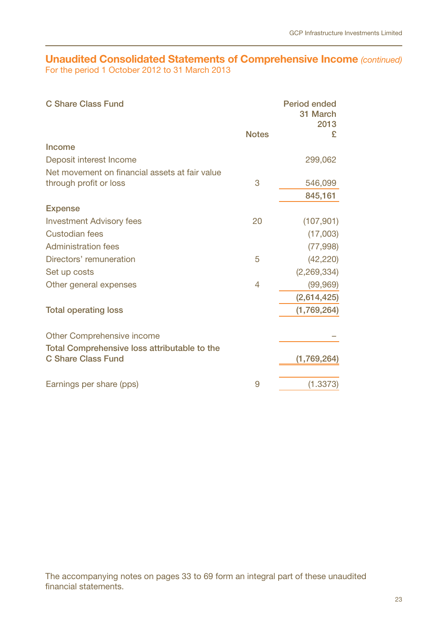## **Unaudited Consolidated Statements of Comprehensive Income** *(continued)* For the period 1 October 2012 to 31 March 2013

| C Share Class Fund                                                 | <b>Notes</b> | Period ended<br>31 March<br>2013<br>£ |
|--------------------------------------------------------------------|--------------|---------------------------------------|
| Income                                                             |              |                                       |
| Deposit interest Income                                            |              | 299,062                               |
| Net movement on financial assets at fair value                     |              |                                       |
| through profit or loss                                             | 3            | 546,099                               |
|                                                                    |              | 845,161                               |
| <b>Expense</b>                                                     |              |                                       |
| <b>Investment Advisory fees</b>                                    | 20           | (107, 901)                            |
| Custodian fees                                                     |              | (17,003)                              |
| <b>Administration fees</b>                                         |              | (77,998)                              |
| Directors' remuneration                                            | 5            | (42, 220)                             |
| Set up costs                                                       |              | (2,269,334)                           |
| Other general expenses                                             | 4            | (99, 969)                             |
|                                                                    |              | (2,614,425)                           |
| <b>Total operating loss</b>                                        |              | (1,769,264)                           |
|                                                                    |              |                                       |
| Other Comprehensive income                                         |              |                                       |
| Total Comprehensive loss attributable to the<br>C Share Class Fund |              | (1,769,264)                           |
|                                                                    |              |                                       |
| Earnings per share (pps)                                           | 9            | (1.3373)                              |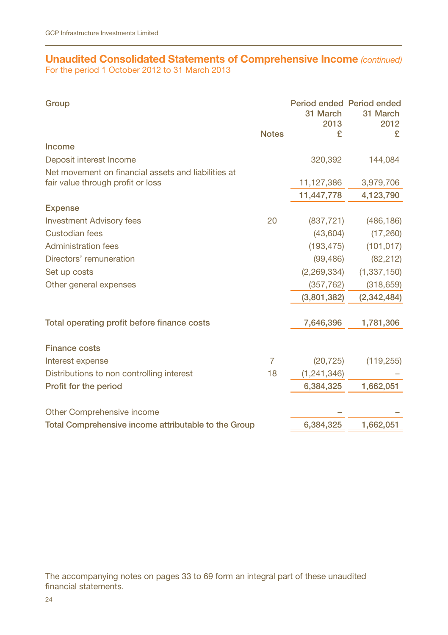# **Unaudited Consolidated Statements of Comprehensive Income** *(continued)* For the period 1 October 2012 to 31 March 2013

| Group                                                |                | 31 March<br>2013 | Period ended Period ended<br>31 March<br>2012 |
|------------------------------------------------------|----------------|------------------|-----------------------------------------------|
|                                                      | <b>Notes</b>   | £                | £                                             |
| Income                                               |                |                  |                                               |
| Deposit interest Income                              |                | 320,392          | 144,084                                       |
| Net movement on financial assets and liabilities at  |                |                  |                                               |
| fair value through profit or loss                    |                | 11,127,386       | 3,979,706                                     |
|                                                      |                | 11,447,778       | 4,123,790                                     |
| <b>Expense</b>                                       |                |                  |                                               |
| <b>Investment Advisory fees</b>                      | 20             | (837, 721)       | (486, 186)                                    |
| Custodian fees                                       |                | (43,604)         | (17, 260)                                     |
| <b>Administration fees</b>                           |                | (193, 475)       | (101, 017)                                    |
| Directors' remuneration                              |                | (99, 486)        | (82, 212)                                     |
| Set up costs                                         |                | (2,269,334)      | (1,337,150)                                   |
| Other general expenses                               |                | (357, 762)       | (318, 659)                                    |
|                                                      |                | (3,801,382)      | (2,342,484)                                   |
|                                                      |                |                  |                                               |
| Total operating profit before finance costs          |                | 7,646,396        | 1,781,306                                     |
| <b>Finance costs</b>                                 |                |                  |                                               |
| Interest expense                                     | $\overline{7}$ | (20, 725)        | (119, 255)                                    |
| Distributions to non controlling interest            | 18             | (1, 241, 346)    |                                               |
| Profit for the period                                |                | 6,384,325        | 1,662,051                                     |
|                                                      |                |                  |                                               |
| Other Comprehensive income                           |                |                  |                                               |
| Total Comprehensive income attributable to the Group |                | 6,384,325        | 1,662,051                                     |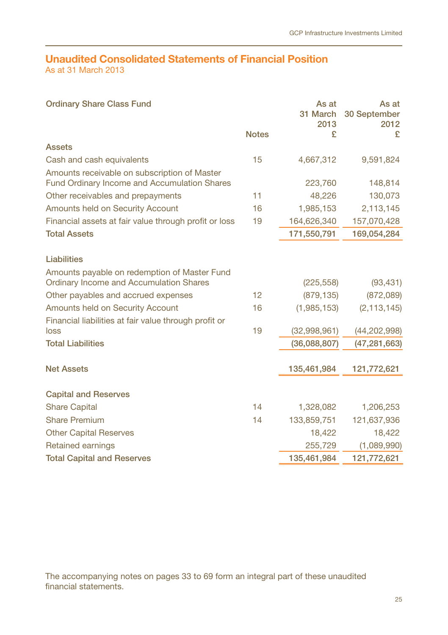#### **Unaudited Consolidated Statements of Financial Position** As at 31 March 2013

Ordinary Share Class Fund Notes As at 31 March 30 September 2013 £ As at 2012 £ Assets Cash and cash equivalents 15 4,667,312 9,591,824 Amounts receivable on subscription of Master Fund Ordinary Income and Accumulation Shares 223,760 148,814 Other receivables and prepayments 11 48,226 130,073 Amounts held on Security Account 16 1,985,153 2,113,145 Financial assets at fair value through profit or loss 19 164,626,340 157,070,428 Total Assets 171,550,791 169,054,284 Liabilities Amounts payable on redemption of Master Fund Ordinary Income and Accumulation Shares (225,558) (93,431) Other payables and accrued expenses 12 (879,135) (872,089) Amounts held on Security Account 16 (1,985,153) (2,113,145) Financial liabilities at fair value through profit or loss 19 (32,998,961) (44,202,998) Total Liabilities (36,088,807) (47,281,663) Net Assets 135,461,984 121,772,621 Capital and Reserves Share Capital 14 1,206,253 14 1,206,253 Share Premium 14 133,859,751 121,637,936 Other Capital Reserves 2008 18,422 18,422 18,422 Retained earnings 255,729 (1,089,990) Total Capital and Reserves 135,461,984 121,772,621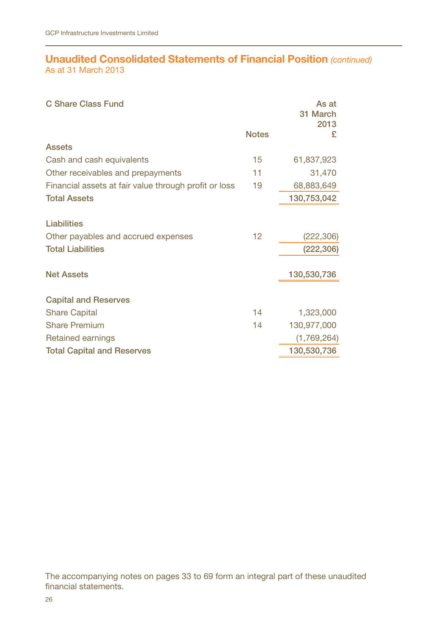# **Unaudited Consolidated Statements of Financial Position** *(continued)* As at 31 March 2013

| C Share Class Fund                                        |              | As at<br>31 March<br>2013 |
|-----------------------------------------------------------|--------------|---------------------------|
|                                                           | <b>Notes</b> | £                         |
| Assets                                                    |              |                           |
| Cash and cash equivalents                                 | 15           | 61,837,923                |
| Other receivables and prepayments                         | 11           | 31,470                    |
| Financial assets at fair value through profit or loss     | 19           | 68,883,649                |
| <b>Total Assets</b>                                       |              | 130,753,042               |
| <b>Liabilities</b><br>Other payables and accrued expenses | 12           | (222, 306)                |
| <b>Total Liabilities</b>                                  |              | (222,306)                 |
|                                                           |              |                           |
| <b>Net Assets</b>                                         |              | 130,530,736               |
| <b>Capital and Reserves</b>                               |              |                           |
| <b>Share Capital</b>                                      | 14           | 1,323,000                 |
| <b>Share Premium</b>                                      | 14           | 130,977,000               |
| Retained earnings                                         |              | (1,769,264)               |
| <b>Total Capital and Reserves</b>                         |              | 130,530,736               |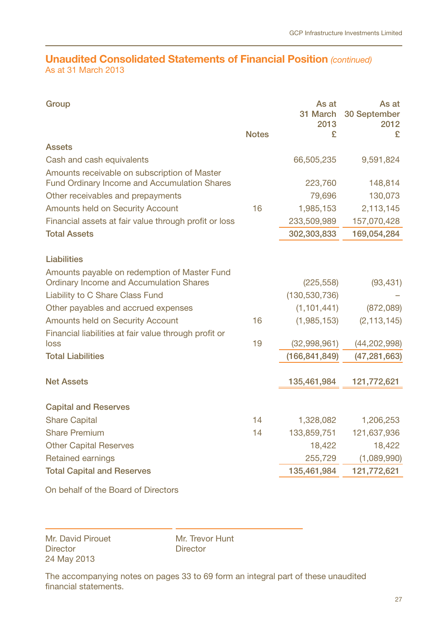# **Unaudited Consolidated Statements of Financial Position** *(continued)* As at 31 March 2013

| Group                                                                                        | <b>Notes</b> | As at<br>2013<br>£ | As at<br>31 March 30 September<br>2012<br>£ |
|----------------------------------------------------------------------------------------------|--------------|--------------------|---------------------------------------------|
| Assets                                                                                       |              |                    |                                             |
| Cash and cash equivalents                                                                    |              | 66,505,235         | 9,591,824                                   |
| Amounts receivable on subscription of Master<br>Fund Ordinary Income and Accumulation Shares |              | 223,760            | 148,814                                     |
| Other receivables and prepayments                                                            |              | 79,696             | 130,073                                     |
| Amounts held on Security Account                                                             | 16           | 1,985,153          | 2,113,145                                   |
| Financial assets at fair value through profit or loss                                        |              | 233,509,989        | 157,070,428                                 |
| <b>Total Assets</b>                                                                          |              | 302,303,833        | 169,054,284                                 |
|                                                                                              |              |                    |                                             |
| Liabilities                                                                                  |              |                    |                                             |
| Amounts payable on redemption of Master Fund<br>Ordinary Income and Accumulation Shares      |              | (225, 558)         | (93, 431)                                   |
| Liability to C Share Class Fund                                                              |              | (130, 530, 736)    |                                             |
| Other payables and accrued expenses                                                          |              | (1, 101, 441)      | (872,089)                                   |
| Amounts held on Security Account                                                             | 16           | (1,985,153)        | (2, 113, 145)                               |
| Financial liabilities at fair value through profit or                                        |              |                    |                                             |
| loss                                                                                         | 19           | (32,998,961)       | (44, 202, 998)                              |
| <b>Total Liabilities</b>                                                                     |              | (166, 841, 849)    | (47, 281, 663)                              |
|                                                                                              |              |                    |                                             |
| <b>Net Assets</b>                                                                            |              | 135,461,984        | 121,772,621                                 |
|                                                                                              |              |                    |                                             |
| <b>Capital and Reserves</b>                                                                  |              |                    |                                             |
| <b>Share Capital</b>                                                                         | 14           | 1,328,082          | 1,206,253                                   |
| <b>Share Premium</b>                                                                         | 14           | 133,859,751        | 121,637,936                                 |
| <b>Other Capital Reserves</b>                                                                |              | 18,422             | 18,422                                      |
| Retained earnings                                                                            |              | 255,729            | (1,089,990)                                 |
| <b>Total Capital and Reserves</b>                                                            |              | 135,461,984        | 121,772,621                                 |
| the contract of the contract of the contract of the contract of the contract of              |              |                    |                                             |

On behalf of the Board of Directors

Mr. David Pirouet **Director** 24 May 2013

Mr. Trevor Hunt **Director**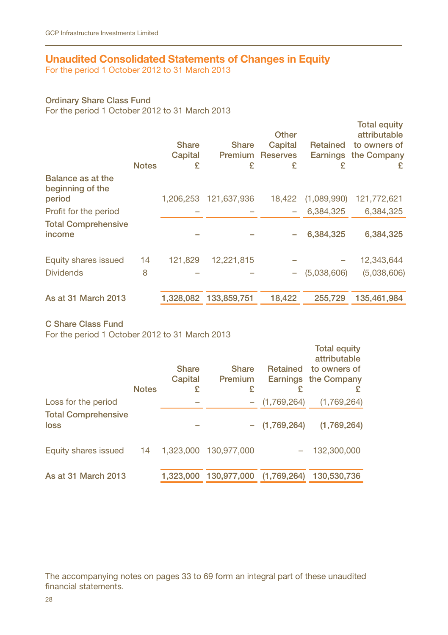# **Unaudited Consolidated Statements of Changes in Equity**

For the period 1 October 2012 to 31 March 2013

## Ordinary Share Class Fund

For the period 1 October 2012 to 31 March 2013

|                                                 | <b>Notes</b> | Share<br>Capital<br>£ | <b>Share</b><br><b>Premium</b><br>£ | Other<br>Capital<br><b>Reserves</b><br>£ | Retained<br>Earnings<br>£ | <b>Total equity</b><br>attributable<br>to owners of<br>the Company<br>£ |
|-------------------------------------------------|--------------|-----------------------|-------------------------------------|------------------------------------------|---------------------------|-------------------------------------------------------------------------|
| Balance as at the<br>beginning of the<br>period |              | 1,206,253             | 121,637,936                         | 18.422                                   | (1,089,990)               | 121,772,621                                                             |
| Profit for the period                           |              |                       |                                     |                                          | 6.384.325                 | 6.384.325                                                               |
| <b>Total Comprehensive</b><br>income            |              |                       |                                     |                                          | 6.384.325                 | 6,384,325                                                               |
| Equity shares issued                            | 14           | 121.829               | 12,221,815                          |                                          |                           | 12,343,644                                                              |
| <b>Dividends</b>                                | 8            |                       |                                     | -                                        | (5,038,606)               | (5,038,606)                                                             |
| As at 31 March 2013                             |              |                       | 1,328,082 133,859,751               | 18,422                                   | 255.729                   | 135,461,984                                                             |

C Share Class Fund

For the period 1 October 2012 to 31 March 2013

|                                    |              |                  |                         |                 | <b>Total equity</b><br>attributable  |
|------------------------------------|--------------|------------------|-------------------------|-----------------|--------------------------------------|
|                                    |              | Share<br>Capital | <b>Share</b><br>Premium | Retained        | to owners of<br>Earnings the Company |
|                                    | <b>Notes</b> | £                | £                       | £               |                                      |
| Loss for the period                |              |                  |                         | (1,769,264)     | (1,769,264)                          |
| <b>Total Comprehensive</b><br>loss |              |                  |                         | $-$ (1,769,264) | (1,769,264)                          |
| Equity shares issued               | 14           |                  | 1.323.000 130.977.000   |                 | 132,300,000                          |
| As at 31 March 2013                |              | 1.323.000        | 130,977,000             | (1,769,264)     | 130.530.736                          |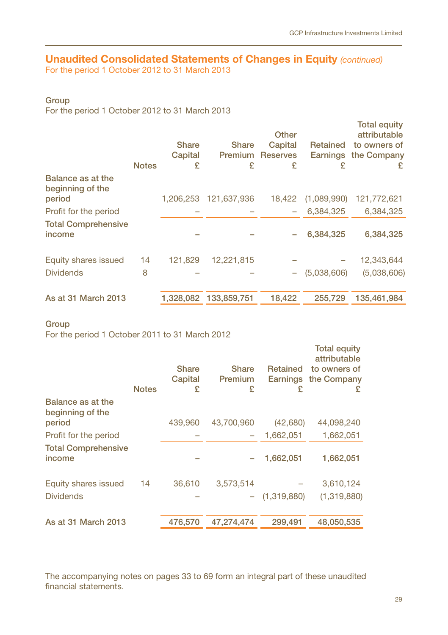# **Unaudited Consolidated Statements of Changes in Equity** *(continued)*

For the period 1 October 2012 to 31 March 2013

## Group

For the period 1 October 2012 to 31 March 2013

|                                                 | <b>Notes</b> | <b>Share</b><br>Capital<br>£ | <b>Share</b><br>Premium<br>£ | Other<br>Capital<br><b>Reserves</b><br>£ | Retained<br>Earnings<br>£ | <b>Total equity</b><br>attributable<br>to owners of<br>the Company<br>£ |
|-------------------------------------------------|--------------|------------------------------|------------------------------|------------------------------------------|---------------------------|-------------------------------------------------------------------------|
| Balance as at the<br>beginning of the<br>period |              | 1,206,253                    | 121.637.936                  | 18.422                                   | (1,089,990)               | 121,772,621                                                             |
| Profit for the period                           |              |                              |                              |                                          | 6.384.325                 | 6,384,325                                                               |
| <b>Total Comprehensive</b><br>income            |              |                              |                              |                                          | 6,384,325                 | 6,384,325                                                               |
| Equity shares issued                            | 14           | 121.829                      | 12,221,815                   |                                          |                           | 12,343,644                                                              |
| <b>Dividends</b>                                | 8            |                              |                              | -                                        | (5,038,606)               | (5,038,606)                                                             |
| As at 31 March 2013                             |              | 1,328,082                    | 133,859,751                  | 18,422                                   | 255,729                   | 135,461,984                                                             |

## **Group**

For the period 1 October 2011 to 31 March 2012

|                                                 | <b>Notes</b> | <b>Share</b><br>Capital<br>£ | Share<br>Premium<br>£ | Retained<br>Earnings<br>£ | <b>Total equity</b><br>attributable<br>to owners of<br>the Company<br>£ |
|-------------------------------------------------|--------------|------------------------------|-----------------------|---------------------------|-------------------------------------------------------------------------|
| Balance as at the<br>beginning of the<br>period |              | 439,960                      | 43.700.960            | (42,680)                  | 44,098,240                                                              |
|                                                 |              |                              |                       |                           |                                                                         |
| Profit for the period                           |              |                              |                       | 1.662.051                 | 1,662,051                                                               |
| <b>Total Comprehensive</b><br>income            |              |                              |                       | 1,662,051                 | 1,662,051                                                               |
| Equity shares issued                            | 14           | 36,610                       | 3,573,514             |                           | 3,610,124                                                               |
| <b>Dividends</b>                                |              |                              |                       | $-$ (1,319,880)           | (1,319,880)                                                             |
| As at 31 March 2013                             |              | 476,570                      | 47.274.474            | 299.491                   | 48.050.535                                                              |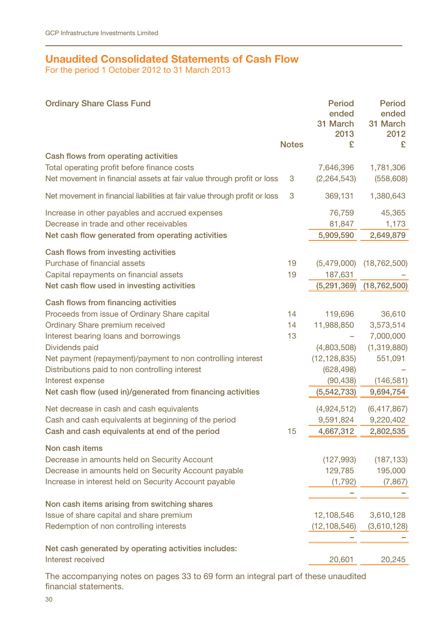# **Unaudited Consolidated Statements of Cash Flow**

For the period 1 October 2012 to 31 March 2013

| <b>Ordinary Share Class Fund</b>                                           |              | Period<br>ended<br>31 March<br>2013 | Period<br>ended<br>31 March<br>2012 |
|----------------------------------------------------------------------------|--------------|-------------------------------------|-------------------------------------|
|                                                                            | <b>Notes</b> | £                                   | £                                   |
| Cash flows from operating activities                                       |              |                                     |                                     |
| Total operating profit before finance costs                                |              | 7,646,396                           | 1,781,306                           |
| Net movement in financial assets at fair value through profit or loss      | 3            | (2, 264, 543)                       | (558, 608)                          |
| Net movement in financial liabilities at fair value through profit or loss | 3            | 369,131                             | 1,380,643                           |
| Increase in other payables and accrued expenses                            |              | 76,759                              | 45,365                              |
| Decrease in trade and other receivables                                    |              | 81,847                              | 1,173                               |
| Net cash flow generated from operating activities                          |              | 5,909,590                           | 2,649,879                           |
| Cash flows from investing activities                                       |              |                                     |                                     |
| Purchase of financial assets                                               | 19           | (5,479,000)                         | (18, 762, 500)                      |
| Capital repayments on financial assets                                     | 19           | 187,631                             |                                     |
| Net cash flow used in investing activities                                 |              | (5,291,369)                         | (18, 762, 500)                      |
| Cash flows from financing activities                                       |              |                                     |                                     |
| Proceeds from issue of Ordinary Share capital                              | 14           | 119,696                             | 36,610                              |
| Ordinary Share premium received                                            | 14           | 11,988,850                          | 3,573,514                           |
| Interest bearing loans and borrowings                                      | 13           |                                     | 7,000,000                           |
| Dividends paid                                                             |              | (4,803,508)                         | (1,319,880)                         |
| Net payment (repayment)/payment to non controlling interest                |              | (12, 128, 835)                      | 551,091                             |
| Distributions paid to non controlling interest                             |              | (628, 498)                          |                                     |
| Interest expense                                                           |              | (90, 438)                           | (146, 581)                          |
| Net cash flow (used in)/generated from financing activities                |              | (5, 542, 733)                       | 9,694,754                           |
| Net decrease in cash and cash equivalents                                  |              | (4,924,512)                         | (6,417,867)                         |
| Cash and cash equivalents at beginning of the period                       |              | 9,591,824                           | 9,220,402                           |
| Cash and cash equivalents at end of the period                             | 15           | 4,667,312                           | 2,802,535                           |
| Non cash items                                                             |              |                                     |                                     |
| Decrease in amounts held on Security Account                               |              | (127, 993)                          | (187, 133)                          |
| Decrease in amounts held on Security Account payable                       |              | 129,785                             | 195,000                             |
| Increase in interest held on Security Account payable                      |              | (1,792)                             | (7, 867)                            |
|                                                                            |              |                                     |                                     |
| Non cash items arising from switching shares                               |              |                                     |                                     |
| Issue of share capital and share premium                                   |              | 12,108,546                          | 3,610,128                           |
| Redemption of non controlling interests                                    |              | (12, 108, 546)                      | (3,610,128)                         |
|                                                                            |              |                                     |                                     |
| Net cash generated by operating activities includes:                       |              |                                     |                                     |
| Interest received                                                          |              | 20,601                              | 20,245                              |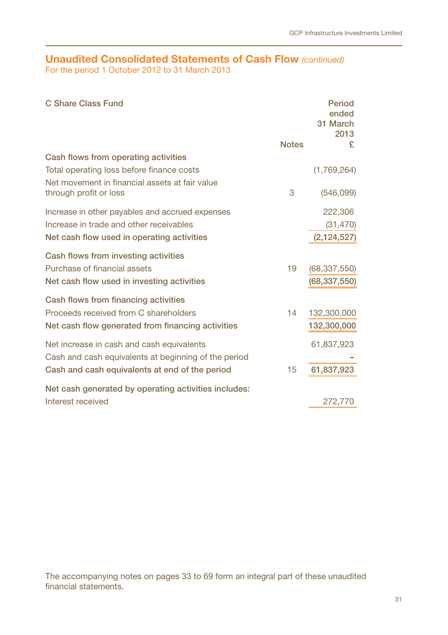# **Unaudited Consolidated Statements of Cash Flow** *(continued)*

For the period 1 October 2012 to 31 March 2013

| C Share Class Fund                                                                                                                                  |              | Period<br>ended<br>31 March<br>2013 |
|-----------------------------------------------------------------------------------------------------------------------------------------------------|--------------|-------------------------------------|
|                                                                                                                                                     | <b>Notes</b> | £                                   |
| Cash flows from operating activities<br>Total operating loss before finance costs<br>Net movement in financial assets at fair value                 |              | (1,769,264)                         |
| through profit or loss                                                                                                                              | 3            | (546,099)                           |
| Increase in other payables and accrued expenses<br>Increase in trade and other receivables                                                          |              | 222,306<br>(31, 470)                |
| Net cash flow used in operating activities                                                                                                          |              | (2, 124, 527)                       |
| Cash flows from investing activities<br>Purchase of financial assets<br>Net cash flow used in investing activities                                  | 19           | (68, 337, 550)<br>(68,337,550)      |
| Cash flows from financing activities<br>Proceeds received from C shareholders<br>Net cash flow generated from financing activities                  | 14           | 132,300,000<br>132,300,000          |
| Net increase in cash and cash equivalents<br>Cash and cash equivalents at beginning of the period<br>Cash and cash equivalents at end of the period | 15           | 61,837,923<br>61,837,923            |
| Net cash generated by operating activities includes:<br>Interest received                                                                           |              | 272,770                             |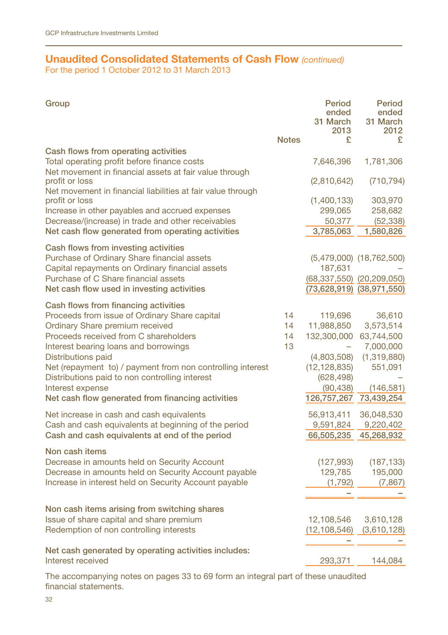# **Unaudited Consolidated Statements of Cash Flow** *(continued)*

For the period 1 October 2012 to 31 March 2013

| Group                                                                                                                                   | <b>Notes</b> | Period<br>ended<br>31 March<br>2013<br>£ | Period<br>ended<br>31 March<br>2012<br>£ |
|-----------------------------------------------------------------------------------------------------------------------------------------|--------------|------------------------------------------|------------------------------------------|
| Cash flows from operating activities<br>Total operating profit before finance costs                                                     |              | 7,646,396                                | 1,781,306                                |
| Net movement in financial assets at fair value through<br>profit or loss<br>Net movement in financial liabilities at fair value through |              | (2,810,642)                              | (710, 794)                               |
| profit or loss                                                                                                                          |              | (1,400,133)                              | 303,970                                  |
| Increase in other payables and accrued expenses                                                                                         |              | 299,065                                  | 258,682                                  |
| Decrease/(increase) in trade and other receivables                                                                                      |              | 50,377                                   | (52, 338)                                |
| Net cash flow generated from operating activities                                                                                       |              | 3,785,063                                | 1,580,826                                |
| Cash flows from investing activities                                                                                                    |              |                                          |                                          |
| Purchase of Ordinary Share financial assets                                                                                             |              |                                          | $(5,479,000)$ $(18,762,500)$             |
| Capital repayments on Ordinary financial assets                                                                                         |              | 187,631                                  |                                          |
| Purchase of C Share financial assets                                                                                                    |              | $(68, 337, 550)$ $(20, 209, 050)$        |                                          |
| Net cash flow used in investing activities                                                                                              |              | (73,628,919) (38,971,550)                |                                          |
| Cash flows from financing activities                                                                                                    |              |                                          |                                          |
| Proceeds from issue of Ordinary Share capital                                                                                           | 14           | 119,696                                  | 36,610                                   |
| Ordinary Share premium received                                                                                                         | 14           | 11,988,850                               | 3,573,514                                |
| Proceeds received from C shareholders                                                                                                   | 14           | 132,300,000                              | 63,744,500                               |
| Interest bearing loans and borrowings                                                                                                   | 13           |                                          | 7,000,000                                |
| Distributions paid                                                                                                                      |              | (4,803,508)                              | (1,319,880)                              |
| Net (repayment to) / payment from non controlling interest                                                                              |              | (12, 128, 835)                           | 551,091                                  |
| Distributions paid to non controlling interest                                                                                          |              | (628, 498)                               |                                          |
| Interest expense                                                                                                                        |              | (90, 438)                                | (146, 581)                               |
| Net cash flow generated from financing activities                                                                                       |              | 126,757,267                              | 73,439,254                               |
|                                                                                                                                         |              |                                          |                                          |
| Net increase in cash and cash equivalents                                                                                               |              | 56,913,411                               | 36,048,530                               |
| Cash and cash equivalents at beginning of the period                                                                                    |              | 9,591,824                                | 9,220,402                                |
| Cash and cash equivalents at end of the period                                                                                          |              |                                          | 66,505,235 45,268,932                    |
| Non cash items                                                                                                                          |              |                                          |                                          |
| Decrease in amounts held on Security Account                                                                                            |              | (127, 993)                               | (187, 133)                               |
| Decrease in amounts held on Security Account payable                                                                                    |              | 129,785                                  | 195,000                                  |
| Increase in interest held on Security Account payable                                                                                   |              | (1,792)                                  | (7, 867)                                 |
|                                                                                                                                         |              |                                          |                                          |
| Non cash items arising from switching shares                                                                                            |              |                                          |                                          |
| Issue of share capital and share premium                                                                                                |              | 12,108,546                               | 3,610,128                                |
| Redemption of non controlling interests                                                                                                 |              | (12,108,546)                             | (3,610,128)                              |
|                                                                                                                                         |              |                                          |                                          |
| Net cash generated by operating activities includes:                                                                                    |              |                                          |                                          |
| Interest received                                                                                                                       |              | 293,371                                  | 144,084                                  |
|                                                                                                                                         |              |                                          |                                          |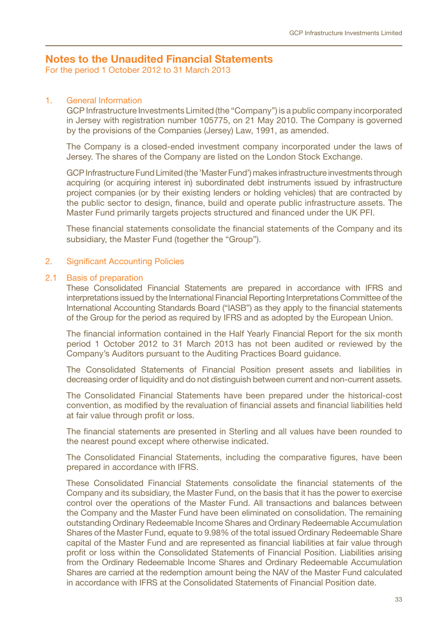# **Notes to the Unaudited Financial Statements**

For the period 1 October 2012 to 31 March 2013

#### 1. General Information

GCP Infrastructure Investments Limited (the "Company") is a public company incorporated in Jersey with registration number 105775, on 21 May 2010. The Company is governed by the provisions of the Companies (Jersey) Law, 1991, as amended.

The Company is a closed-ended investment company incorporated under the laws of Jersey. The shares of the Company are listed on the London Stock Exchange.

GCP Infrastructure Fund Limited (the 'Master Fund') makes infrastructure investments through acquiring (or acquiring interest in) subordinated debt instruments issued by infrastructure project companies (or by their existing lenders or holding vehicles) that are contracted by the public sector to design, finance, build and operate public infrastructure assets. The Master Fund primarily targets projects structured and financed under the UK PFI.

These financial statements consolidate the financial statements of the Company and its subsidiary, the Master Fund (together the "Group").

#### 2. Significant Accounting Policies

#### 2.1 Basis of preparation

These Consolidated Financial Statements are prepared in accordance with IFRS and interpretations issued by the International Financial Reporting Interpretations Committee of the International Accounting Standards Board ("IASB") as they apply to the financial statements of the Group for the period as required by IFRS and as adopted by the European Union.

The financial information contained in the Half Yearly Financial Report for the six month period 1 October 2012 to 31 March 2013 has not been audited or reviewed by the Company's Auditors pursuant to the Auditing Practices Board guidance.

The Consolidated Statements of Financial Position present assets and liabilities in decreasing order of liquidity and do not distinguish between current and non-current assets.

The Consolidated Financial Statements have been prepared under the historical-cost convention, as modified by the revaluation of financial assets and financial liabilities held at fair value through profit or loss.

The financial statements are presented in Sterling and all values have been rounded to the nearest pound except where otherwise indicated.

The Consolidated Financial Statements, including the comparative figures, have been prepared in accordance with IFRS.

These Consolidated Financial Statements consolidate the financial statements of the Company and its subsidiary, the Master Fund, on the basis that it has the power to exercise control over the operations of the Master Fund. All transactions and balances between the Company and the Master Fund have been eliminated on consolidation. The remaining outstanding Ordinary Redeemable Income Shares and Ordinary Redeemable Accumulation Shares of the Master Fund, equate to 9.98% of the total issued Ordinary Redeemable Share capital of the Master Fund and are represented as financial liabilities at fair value through profit or loss within the Consolidated Statements of Financial Position. Liabilities arising from the Ordinary Redeemable Income Shares and Ordinary Redeemable Accumulation Shares are carried at the redemption amount being the NAV of the Master Fund calculated in accordance with IFRS at the Consolidated Statements of Financial Position date.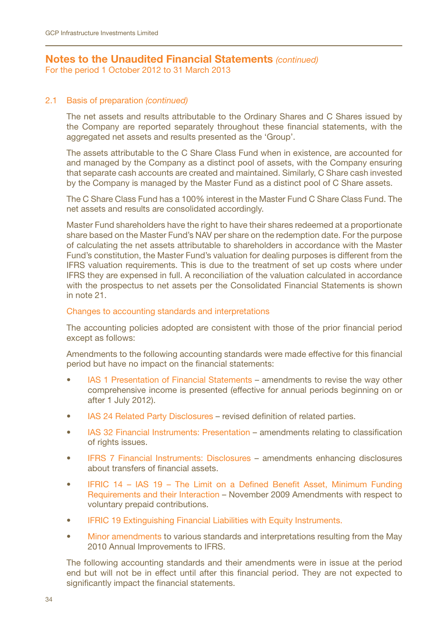# **Notes to the Unaudited Financial Statements** *(continued)*

For the period 1 October 2012 to 31 March 2013

#### 2.1 Basis of preparation *(continued)*

The net assets and results attributable to the Ordinary Shares and C Shares issued by the Company are reported separately throughout these financial statements, with the aggregated net assets and results presented as the 'Group'.

The assets attributable to the C Share Class Fund when in existence, are accounted for and managed by the Company as a distinct pool of assets, with the Company ensuring that separate cash accounts are created and maintained. Similarly, C Share cash invested by the Company is managed by the Master Fund as a distinct pool of C Share assets.

The C Share Class Fund has a 100% interest in the Master Fund C Share Class Fund. The net assets and results are consolidated accordingly.

Master Fund shareholders have the right to have their shares redeemed at a proportionate share based on the Master Fund's NAV per share on the redemption date. For the purpose of calculating the net assets attributable to shareholders in accordance with the Master Fund's constitution, the Master Fund's valuation for dealing purposes is different from the IFRS valuation requirements. This is due to the treatment of set up costs where under IFRS they are expensed in full. A reconciliation of the valuation calculated in accordance with the prospectus to net assets per the Consolidated Financial Statements is shown in note 21.

#### Changes to accounting standards and interpretations

The accounting policies adopted are consistent with those of the prior financial period except as follows:

Amendments to the following accounting standards were made effective for this financial period but have no impact on the financial statements:

- IAS 1 Presentation of Financial Statements amendments to revise the way other comprehensive income is presented (effective for annual periods beginning on or after 1 July 2012).
- IAS 24 Related Party Disclosures revised definition of related parties.
- IAS 32 Financial Instruments: Presentation amendments relating to classification of rights issues.
- IFRS 7 Financial Instruments: Disclosures amendments enhancing disclosures about transfers of financial assets.
- IFRIC 14 IAS 19 The Limit on a Defined Benefit Asset, Minimum Funding Requirements and their Interaction – November 2009 Amendments with respect to voluntary prepaid contributions.
- IFRIC 19 Extinguishing Financial Liabilities with Equity Instruments.
- Minor amendments to various standards and interpretations resulting from the May 2010 Annual Improvements to IFRS.

The following accounting standards and their amendments were in issue at the period end but will not be in effect until after this financial period. They are not expected to significantly impact the financial statements.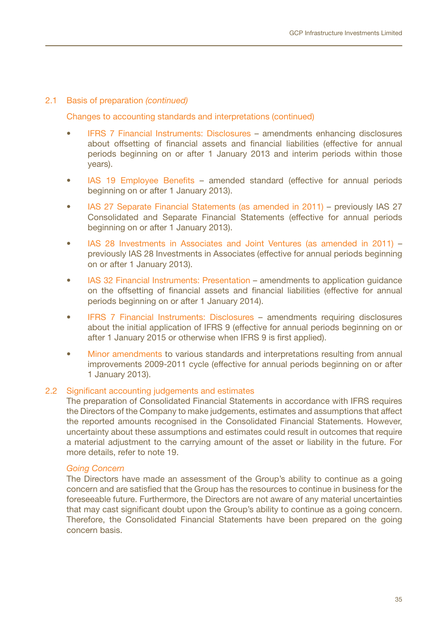#### 2.1 Basis of preparation *(continued)*

Changes to accounting standards and interpretations (continued)

- IFRS 7 Financial Instruments: Disclosures amendments enhancing disclosures about offsetting of financial assets and financial liabilities (effective for annual periods beginning on or after 1 January 2013 and interim periods within those years).
- IAS 19 Employee Benefits amended standard (effective for annual periods beginning on or after 1 January 2013).
- IAS 27 Separate Financial Statements (as amended in 2011) previously IAS 27 Consolidated and Separate Financial Statements (effective for annual periods beginning on or after 1 January 2013).
- IAS 28 Investments in Associates and Joint Ventures (as amended in 2011) previously IAS 28 Investments in Associates (effective for annual periods beginning on or after 1 January 2013).
- IAS 32 Financial Instruments: Presentation amendments to application quidance on the offsetting of financial assets and financial liabilities (effective for annual periods beginning on or after 1 January 2014).
- IFRS 7 Financial Instruments: Disclosures amendments requiring disclosures about the initial application of IFRS 9 (effective for annual periods beginning on or after 1 January 2015 or otherwise when IFRS 9 is first applied).
- Minor amendments to various standards and interpretations resulting from annual improvements 2009-2011 cycle (effective for annual periods beginning on or after 1 January 2013).

### 2.2 Significant accounting judgements and estimates

The preparation of Consolidated Financial Statements in accordance with IFRS requires the Directors of the Company to make judgements, estimates and assumptions that affect the reported amounts recognised in the Consolidated Financial Statements. However, uncertainty about these assumptions and estimates could result in outcomes that require a material adjustment to the carrying amount of the asset or liability in the future. For more details, refer to note 19.

### *Going Concern*

The Directors have made an assessment of the Group's ability to continue as a going concern and are satisfied that the Group has the resources to continue in business for the foreseeable future. Furthermore, the Directors are not aware of any material uncertainties that may cast significant doubt upon the Group's ability to continue as a going concern. Therefore, the Consolidated Financial Statements have been prepared on the going concern basis.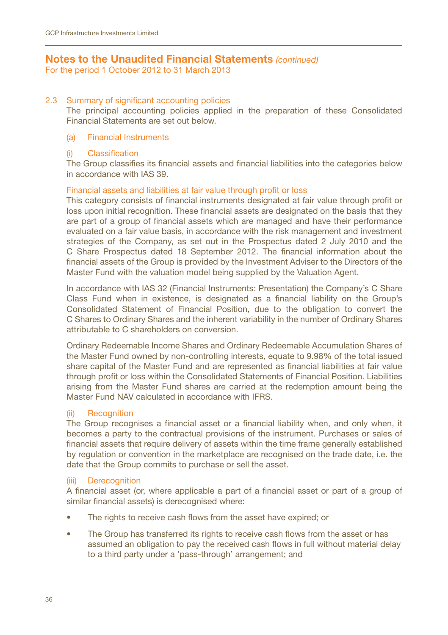For the period 1 October 2012 to 31 March 2013

#### 2.3 Summary of significant accounting policies

The principal accounting policies applied in the preparation of these Consolidated Financial Statements are set out below.

#### (a) Financial Instruments

#### (i) Classification

The Group classifies its financial assets and financial liabilities into the categories below in accordance with IAS 39.

### Financial assets and liabilities at fair value through profit or loss

This category consists of financial instruments designated at fair value through profit or loss upon initial recognition. These financial assets are designated on the basis that they are part of a group of financial assets which are managed and have their performance evaluated on a fair value basis, in accordance with the risk management and investment strategies of the Company, as set out in the Prospectus dated 2 July 2010 and the C Share Prospectus dated 18 September 2012. The financial information about the financial assets of the Group is provided by the Investment Adviser to the Directors of the Master Fund with the valuation model being supplied by the Valuation Agent.

In accordance with IAS 32 (Financial Instruments: Presentation) the Company's C Share Class Fund when in existence, is designated as a financial liability on the Group's Consolidated Statement of Financial Position, due to the obligation to convert the C Shares to Ordinary Shares and the inherent variability in the number of Ordinary Shares attributable to C shareholders on conversion.

Ordinary Redeemable Income Shares and Ordinary Redeemable Accumulation Shares of the Master Fund owned by non-controlling interests, equate to 9.98% of the total issued share capital of the Master Fund and are represented as financial liabilities at fair value through profit or loss within the Consolidated Statements of Financial Position. Liabilities arising from the Master Fund shares are carried at the redemption amount being the Master Fund NAV calculated in accordance with IFRS.

### (ii) Recognition

The Group recognises a financial asset or a financial liability when, and only when, it becomes a party to the contractual provisions of the instrument. Purchases or sales of financial assets that require delivery of assets within the time frame generally established by regulation or convention in the marketplace are recognised on the trade date, i.e. the date that the Group commits to purchase or sell the asset.

## (iii) Derecognition

A financial asset (or, where applicable a part of a financial asset or part of a group of similar financial assets) is derecognised where:

- The rights to receive cash flows from the asset have expired; or
- The Group has transferred its rights to receive cash flows from the asset or has assumed an obligation to pay the received cash flows in full without material delay to a third party under a 'pass-through' arrangement; and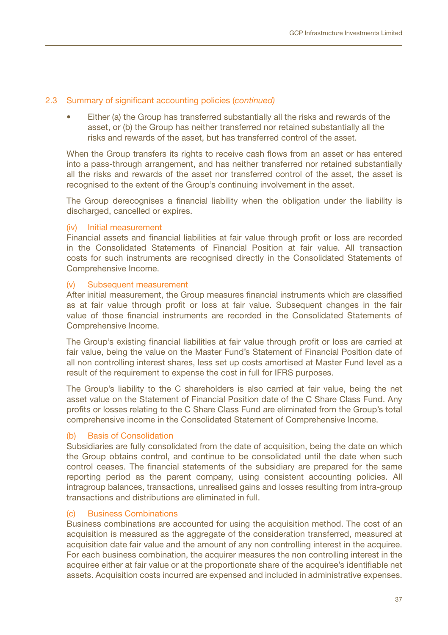#### 2.3 Summary of significant accounting policies (*continued)*

Either (a) the Group has transferred substantially all the risks and rewards of the asset, or (b) the Group has neither transferred nor retained substantially all the risks and rewards of the asset, but has transferred control of the asset.

When the Group transfers its rights to receive cash flows from an asset or has entered into a pass-through arrangement, and has neither transferred nor retained substantially all the risks and rewards of the asset nor transferred control of the asset, the asset is recognised to the extent of the Group's continuing involvement in the asset.

The Group derecognises a financial liability when the obligation under the liability is discharged, cancelled or expires.

### (iv) Initial measurement

Financial assets and financial liabilities at fair value through profit or loss are recorded in the Consolidated Statements of Financial Position at fair value. All transaction costs for such instruments are recognised directly in the Consolidated Statements of Comprehensive Income.

#### (v) Subsequent measurement

After initial measurement, the Group measures financial instruments which are classified as at fair value through profit or loss at fair value. Subsequent changes in the fair value of those financial instruments are recorded in the Consolidated Statements of Comprehensive Income.

The Group's existing financial liabilities at fair value through profit or loss are carried at fair value, being the value on the Master Fund's Statement of Financial Position date of all non controlling interest shares, less set up costs amortised at Master Fund level as a result of the requirement to expense the cost in full for IFRS purposes.

The Group's liability to the C shareholders is also carried at fair value, being the net asset value on the Statement of Financial Position date of the C Share Class Fund. Any profits or losses relating to the C Share Class Fund are eliminated from the Group's total comprehensive income in the Consolidated Statement of Comprehensive Income.

## (b) Basis of Consolidation

Subsidiaries are fully consolidated from the date of acquisition, being the date on which the Group obtains control, and continue to be consolidated until the date when such control ceases. The financial statements of the subsidiary are prepared for the same reporting period as the parent company, using consistent accounting policies. All intragroup balances, transactions, unrealised gains and losses resulting from intra-group transactions and distributions are eliminated in full.

## (c) Business Combinations

Business combinations are accounted for using the acquisition method. The cost of an acquisition is measured as the aggregate of the consideration transferred, measured at acquisition date fair value and the amount of any non controlling interest in the acquiree. For each business combination, the acquirer measures the non controlling interest in the acquiree either at fair value or at the proportionate share of the acquiree's identifiable net assets. Acquisition costs incurred are expensed and included in administrative expenses.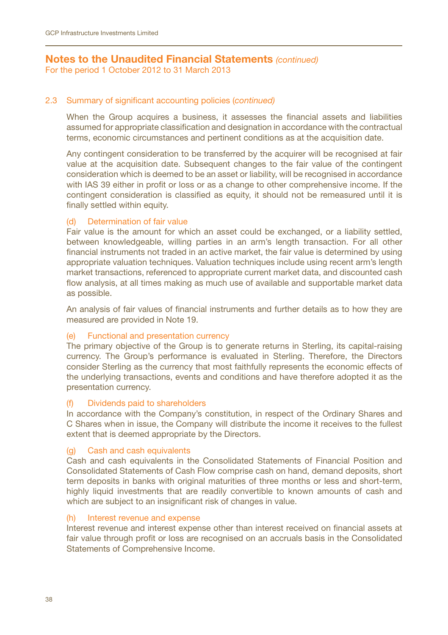For the period 1 October 2012 to 31 March 2013

## 2.3 Summary of significant accounting policies (*continued)*

When the Group acquires a business, it assesses the financial assets and liabilities assumed for appropriate classification and designation in accordance with the contractual terms, economic circumstances and pertinent conditions as at the acquisition date.

Any contingent consideration to be transferred by the acquirer will be recognised at fair value at the acquisition date. Subsequent changes to the fair value of the contingent consideration which is deemed to be an asset or liability, will be recognised in accordance with IAS 39 either in profit or loss or as a change to other comprehensive income. If the contingent consideration is classified as equity, it should not be remeasured until it is finally settled within equity.

## (d) Determination of fair value

Fair value is the amount for which an asset could be exchanged, or a liability settled, between knowledgeable, willing parties in an arm's length transaction. For all other financial instruments not traded in an active market, the fair value is determined by using appropriate valuation techniques. Valuation techniques include using recent arm's length market transactions, referenced to appropriate current market data, and discounted cash flow analysis, at all times making as much use of available and supportable market data as possible.

An analysis of fair values of financial instruments and further details as to how they are measured are provided in Note 19.

### (e) Functional and presentation currency

The primary objective of the Group is to generate returns in Sterling, its capital-raising currency. The Group's performance is evaluated in Sterling. Therefore, the Directors consider Sterling as the currency that most faithfully represents the economic effects of the underlying transactions, events and conditions and have therefore adopted it as the presentation currency.

### (f) Dividends paid to shareholders

In accordance with the Company's constitution, in respect of the Ordinary Shares and C Shares when in issue, the Company will distribute the income it receives to the fullest extent that is deemed appropriate by the Directors.

### (g) Cash and cash equivalents

Cash and cash equivalents in the Consolidated Statements of Financial Position and Consolidated Statements of Cash Flow comprise cash on hand, demand deposits, short term deposits in banks with original maturities of three months or less and short-term, highly liquid investments that are readily convertible to known amounts of cash and which are subject to an insignificant risk of changes in value.

#### (h) Interest revenue and expense

Interest revenue and interest expense other than interest received on financial assets at fair value through profit or loss are recognised on an accruals basis in the Consolidated Statements of Comprehensive Income.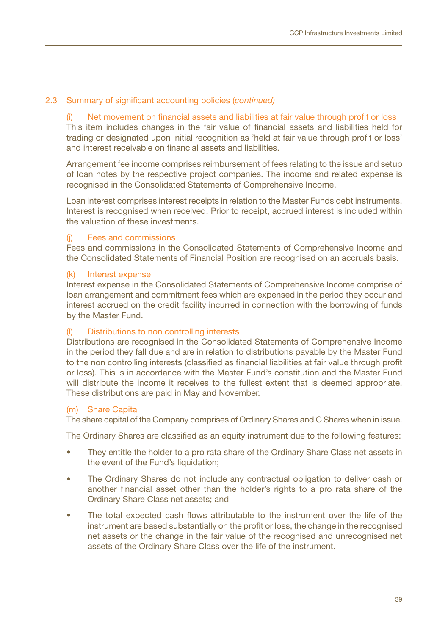### 2.3 Summary of significant accounting policies (*continued)*

(i) Net movement on financial assets and liabilities at fair value through profit or loss This item includes changes in the fair value of financial assets and liabilities held for trading or designated upon initial recognition as 'held at fair value through profit or loss' and interest receivable on financial assets and liabilities.

Arrangement fee income comprises reimbursement of fees relating to the issue and setup of loan notes by the respective project companies. The income and related expense is recognised in the Consolidated Statements of Comprehensive Income.

Loan interest comprises interest receipts in relation to the Master Funds debt instruments. Interest is recognised when received. Prior to receipt, accrued interest is included within the valuation of these investments.

#### (j) Fees and commissions

Fees and commissions in the Consolidated Statements of Comprehensive Income and the Consolidated Statements of Financial Position are recognised on an accruals basis.

#### (k) Interest expense

Interest expense in the Consolidated Statements of Comprehensive Income comprise of loan arrangement and commitment fees which are expensed in the period they occur and interest accrued on the credit facility incurred in connection with the borrowing of funds by the Master Fund.

### Distributions to non controlling interests

Distributions are recognised in the Consolidated Statements of Comprehensive Income in the period they fall due and are in relation to distributions payable by the Master Fund to the non controlling interests (classified as financial liabilities at fair value through profit or loss). This is in accordance with the Master Fund's constitution and the Master Fund will distribute the income it receives to the fullest extent that is deemed appropriate. These distributions are paid in May and November.

### (m) Share Capital

The share capital of the Company comprises of Ordinary Shares and C Shares when in issue.

The Ordinary Shares are classified as an equity instrument due to the following features:

- They entitle the holder to a pro rata share of the Ordinary Share Class net assets in the event of the Fund's liquidation:
- The Ordinary Shares do not include any contractual obligation to deliver cash or another financial asset other than the holder's rights to a pro rata share of the Ordinary Share Class net assets; and
- The total expected cash flows attributable to the instrument over the life of the instrument are based substantially on the profit or loss, the change in the recognised net assets or the change in the fair value of the recognised and unrecognised net assets of the Ordinary Share Class over the life of the instrument.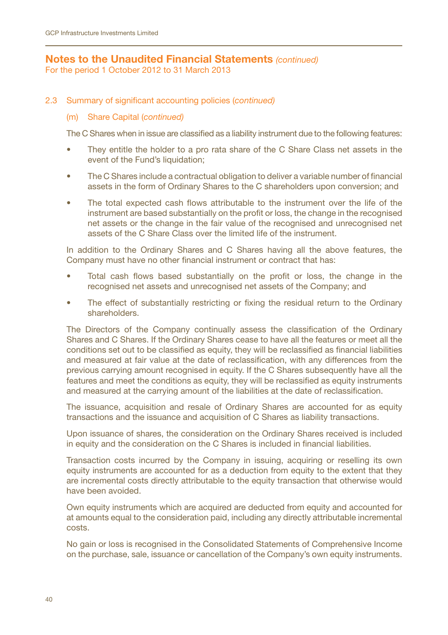For the period 1 October 2012 to 31 March 2013

2.3 Summary of significant accounting policies (*continued)*

## (m) Share Capital (*continued)*

The C Shares when in issue are classified as a liability instrument due to the following features:

- They entitle the holder to a pro rata share of the C Share Class net assets in the event of the Fund's liquidation;
- The C Shares include a contractual obligation to deliver a variable number of financial assets in the form of Ordinary Shares to the C shareholders upon conversion; and
- The total expected cash flows attributable to the instrument over the life of the instrument are based substantially on the profit or loss, the change in the recognised net assets or the change in the fair value of the recognised and unrecognised net assets of the C Share Class over the limited life of the instrument.

In addition to the Ordinary Shares and C Shares having all the above features, the Company must have no other financial instrument or contract that has:

- Total cash flows based substantially on the profit or loss, the change in the recognised net assets and unrecognised net assets of the Company; and
- The effect of substantially restricting or fixing the residual return to the Ordinary shareholders.

The Directors of the Company continually assess the classification of the Ordinary Shares and C Shares. If the Ordinary Shares cease to have all the features or meet all the conditions set out to be classified as equity, they will be reclassified as financial liabilities and measured at fair value at the date of reclassification, with any differences from the previous carrying amount recognised in equity. If the C Shares subsequently have all the features and meet the conditions as equity, they will be reclassified as equity instruments and measured at the carrying amount of the liabilities at the date of reclassification.

The issuance, acquisition and resale of Ordinary Shares are accounted for as equity transactions and the issuance and acquisition of C Shares as liability transactions.

Upon issuance of shares, the consideration on the Ordinary Shares received is included in equity and the consideration on the C Shares is included in financial liabilities.

Transaction costs incurred by the Company in issuing, acquiring or reselling its own equity instruments are accounted for as a deduction from equity to the extent that they are incremental costs directly attributable to the equity transaction that otherwise would have been avoided.

Own equity instruments which are acquired are deducted from equity and accounted for at amounts equal to the consideration paid, including any directly attributable incremental costs.

No gain or loss is recognised in the Consolidated Statements of Comprehensive Income on the purchase, sale, issuance or cancellation of the Company's own equity instruments.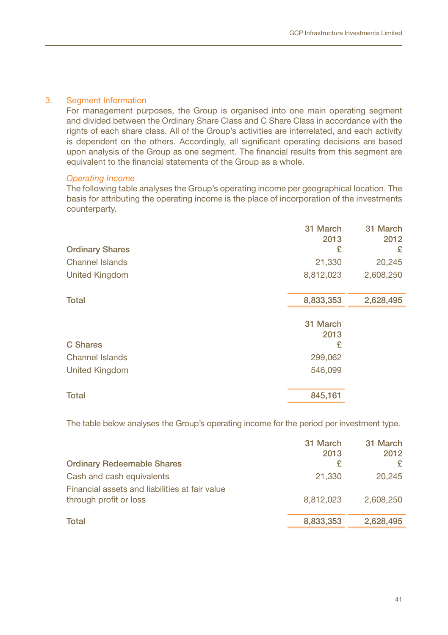### 3. Segment Information

For management purposes, the Group is organised into one main operating segment and divided between the Ordinary Share Class and C Share Class in accordance with the rights of each share class. All of the Group's activities are interrelated, and each activity is dependent on the others. Accordingly, all significant operating decisions are based upon analysis of the Group as one segment. The financial results from this segment are equivalent to the financial statements of the Group as a whole.

#### *Operating Income*

The following table analyses the Group's operating income per geographical location. The basis for attributing the operating income is the place of incorporation of the investments counterparty.

| <b>Ordinary Shares</b> | 31 March<br>2013<br>£ | 31 March<br>2012<br>£ |
|------------------------|-----------------------|-----------------------|
| <b>Channel Islands</b> | 21,330                | 20,245                |
| <b>United Kingdom</b>  | 8,812,023             | 2,608,250             |
| <b>Total</b>           | 8,833,353             | 2,628,495             |
|                        | 31 March<br>2013      |                       |
| <b>C</b> Shares        | £                     |                       |
| <b>Channel Islands</b> | 299,062               |                       |
| <b>United Kingdom</b>  | 546,099               |                       |
| <b>Total</b>           | 845,161               |                       |

The table below analyses the Group's operating income for the period per investment type.

|                                                                          | 31 March<br>2013 | 31 March<br>2012 |
|--------------------------------------------------------------------------|------------------|------------------|
| <b>Ordinary Redeemable Shares</b>                                        | £                |                  |
| Cash and cash equivalents                                                | 21,330           | 20.245           |
| Financial assets and liabilities at fair value<br>through profit or loss | 8.812.023        | 2.608.250        |
| <b>Total</b>                                                             | 8,833,353        | 2.628.495        |
|                                                                          |                  |                  |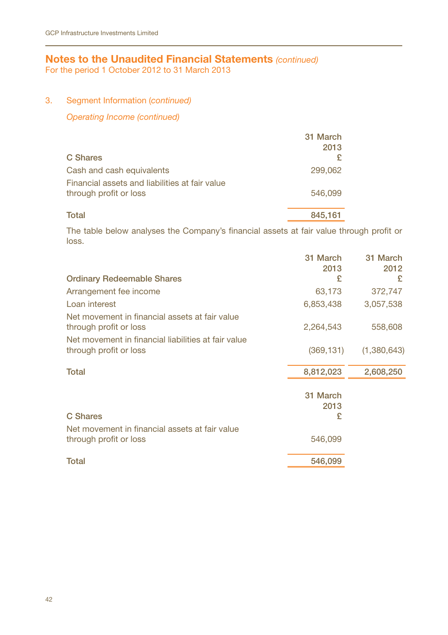For the period 1 October 2012 to 31 March 2013

## 3. Segment Information (*continued)*

*Operating Income (continued)*

|                                                                          | 31 March |
|--------------------------------------------------------------------------|----------|
|                                                                          | 2013     |
| <b>C</b> Shares                                                          |          |
| Cash and cash equivalents                                                | 299,062  |
| Financial assets and liabilities at fair value<br>through profit or loss | 546,099  |
| Total                                                                    | 845.161  |

The table below analyses the Company's financial assets at fair value through profit or loss.

| 31 March<br>2013      | 31 March<br>2012 |
|-----------------------|------------------|
| £                     | £                |
| 63,173                | 372,747          |
| 6,853,438             | 3,057,538        |
| 2,264,543             | 558,608          |
| (369, 131)            | (1,380,643)      |
| 8,812,023             | 2,608,250        |
| 31 March<br>2013<br>£ |                  |
| 546,099               |                  |
| 546,099               |                  |
|                       |                  |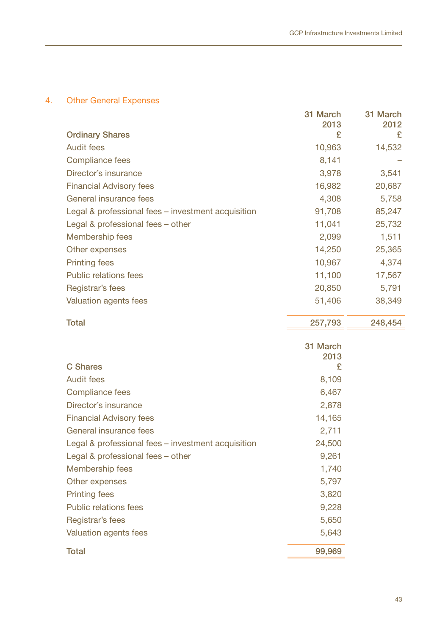## 4. Other General Expenses

|                                                    | 31 March         | 31 March |
|----------------------------------------------------|------------------|----------|
|                                                    | 2013             | 2012     |
| <b>Ordinary Shares</b>                             | £                | £        |
| Audit fees                                         | 10,963           | 14,532   |
| Compliance fees                                    | 8,141            |          |
| Director's insurance                               | 3,978            | 3,541    |
| <b>Financial Advisory fees</b>                     | 16,982           | 20,687   |
| General insurance fees                             | 4,308            | 5,758    |
| Legal & professional fees – investment acquisition | 91,708           | 85,247   |
| Legal & professional fees - other                  | 11,041           | 25,732   |
| Membership fees                                    | 2,099            | 1,511    |
| Other expenses                                     | 14,250           | 25,365   |
| <b>Printing fees</b>                               | 10,967           | 4,374    |
| <b>Public relations fees</b>                       | 11,100           | 17,567   |
| Registrar's fees                                   | 20,850           | 5,791    |
| Valuation agents fees                              | 51,406           | 38,349   |
| <b>Total</b>                                       | 257,793          | 248,454  |
|                                                    | 31 March<br>2013 |          |

| <b>C</b> Shares                                    | £      |  |
|----------------------------------------------------|--------|--|
| Audit fees                                         | 8,109  |  |
| Compliance fees                                    | 6,467  |  |
| Director's insurance                               | 2,878  |  |
| <b>Financial Advisory fees</b>                     | 14,165 |  |
| General insurance fees                             | 2,711  |  |
| Legal & professional fees – investment acquisition | 24,500 |  |
| Legal & professional fees - other                  | 9,261  |  |
| Membership fees                                    | 1,740  |  |
| Other expenses                                     | 5,797  |  |
| <b>Printing fees</b>                               | 3,820  |  |
| <b>Public relations fees</b>                       | 9,228  |  |
| Registrar's fees                                   | 5,650  |  |
| Valuation agents fees                              | 5,643  |  |
| Total                                              | 99.969 |  |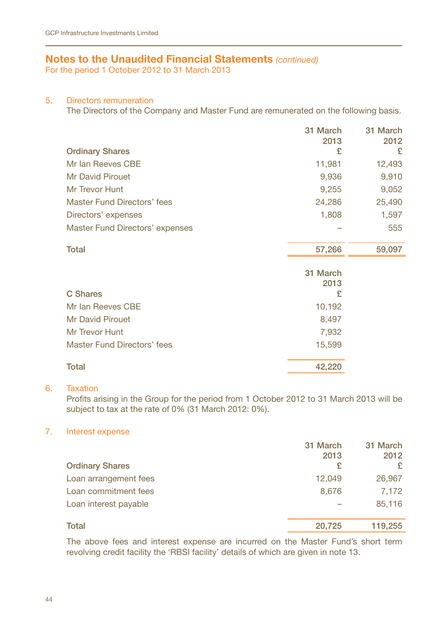For the period 1 October 2012 to 31 March 2013

#### 5. Directors remuneration

The Directors of the Company and Master Fund are remunerated on the following basis.

| 31 March | 31 March                                |
|----------|-----------------------------------------|
|          | 2012                                    |
|          | £                                       |
| 11,981   | 12,493                                  |
| 9,936    | 9,910                                   |
| 9,255    | 9,052                                   |
| 24,286   | 25,490                                  |
| 1,808    | 1,597                                   |
|          | 555                                     |
|          |                                         |
|          | 59,097                                  |
|          |                                         |
|          |                                         |
| £        |                                         |
| 10,192   |                                         |
| 8,497    |                                         |
| 7,932    |                                         |
| 15,599   |                                         |
| 42,220   |                                         |
|          | 2013<br>£<br>57,266<br>31 March<br>2013 |

#### 6. Taxation

Profits arising in the Group for the period from 1 October 2012 to 31 March 2013 will be subject to tax at the rate of 0% (31 March 2012: 0%).

## 7. Interest expense

|                        | 31 March<br>2013 | 31 March<br>2012 |
|------------------------|------------------|------------------|
| <b>Ordinary Shares</b> | £                | £                |
| Loan arrangement fees  | 12,049           | 26,967           |
| Loan commitment fees   | 8,676            | 7,172            |
| Loan interest payable  |                  | 85.116           |
| <b>Total</b>           | 20,725           | 119,255          |

The above fees and interest expense are incurred on the Master Fund's short term revolving credit facility the 'RBSI facility' details of which are given in note 13.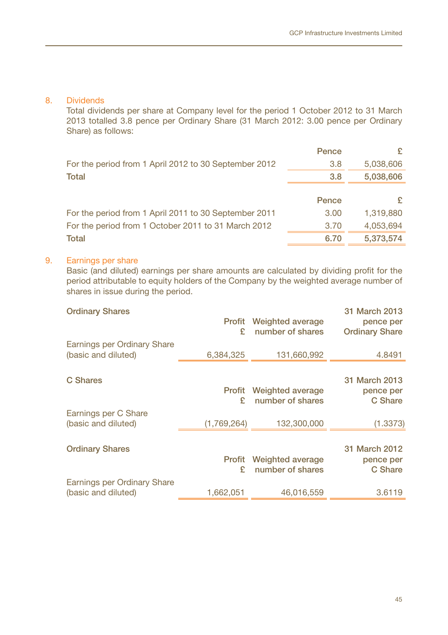#### 8. Dividends

Total dividends per share at Company level for the period 1 October 2012 to 31 March 2013 totalled 3.8 pence per Ordinary Share (31 March 2012: 3.00 pence per Ordinary Share) as follows:

|                                                       | Pence |           |
|-------------------------------------------------------|-------|-----------|
| For the period from 1 April 2012 to 30 September 2012 | 3.8   | 5,038,606 |
| <b>Total</b>                                          | 3.8   | 5,038,606 |
|                                                       |       |           |
|                                                       | Pence |           |
| For the period from 1 April 2011 to 30 September 2011 | 3.00  | 1,319,880 |
| For the period from 1 October 2011 to 31 March 2012   | 3.70  | 4,053,694 |
|                                                       |       |           |
| <b>Total</b>                                          | 6.70  | 5,373,574 |

## 9. Earnings per share

Basic (and diluted) earnings per share amounts are calculated by dividing profit for the period attributable to equity holders of the Company by the weighted average number of shares in issue during the period.

| <b>Ordinary Shares</b>                             | <b>Profit</b><br>ç. | <b>Weighted average</b><br>number of shares | 31 March 2013<br>pence per<br><b>Ordinary Share</b> |
|----------------------------------------------------|---------------------|---------------------------------------------|-----------------------------------------------------|
| Earnings per Ordinary Share<br>(basic and diluted) | 6,384,325           | 131,660,992                                 | 4.8491                                              |
| C Shares                                           |                     |                                             | 31 March 2013                                       |
|                                                    | <b>Profit</b><br>ç  | Weighted average<br>number of shares        | pence per<br>C Share                                |
| Earnings per C Share<br>(basic and diluted)        | (1,769,264)         | 132,300,000                                 | (1.3373)                                            |
| <b>Ordinary Shares</b>                             | Profit<br>£         | <b>Weighted average</b><br>number of shares | 31 March 2012<br>pence per<br>C Share               |
| Earnings per Ordinary Share<br>(basic and diluted) | 1,662,051           | 46,016,559                                  | 3.6119                                              |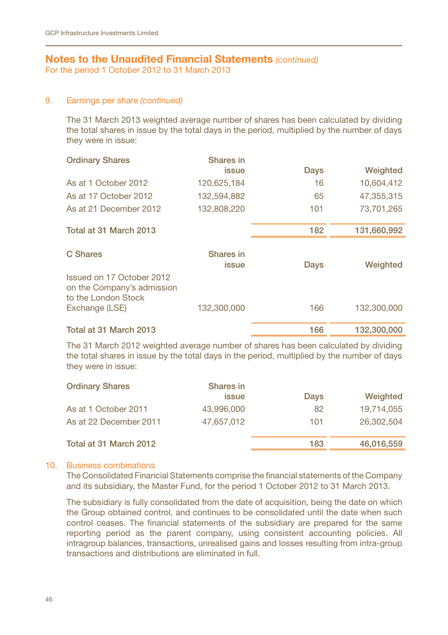For the period 1 October 2012 to 31 March 2013

#### 9. Earnings per share *(continued)*

The 31 March 2013 weighted average number of shares has been calculated by dividing the total shares in issue by the total days in the period, multiplied by the number of days they were in issue:

| <b>Ordinary Shares</b>                                                                           | Shares in<br>issue | Days | Weighted    |
|--------------------------------------------------------------------------------------------------|--------------------|------|-------------|
| As at 1 October 2012                                                                             | 120,625,184        | 16   | 10,604,412  |
| As at 17 October 2012                                                                            | 132.594.882        | 65   | 47.355.315  |
| As at 21 December 2012                                                                           | 132.808.220        | 101  | 73,701,265  |
|                                                                                                  |                    |      |             |
| Total at 31 March 2013                                                                           |                    | 182  | 131,660,992 |
| C Shares                                                                                         | Shares in<br>issue | Days | Weighted    |
| Issued on 17 October 2012<br>on the Company's admission<br>to the London Stock<br>Exchange (LSE) | 132,300,000        | 166  | 132,300,000 |
|                                                                                                  |                    |      |             |
| Total at 31 March 2013                                                                           |                    | 166  | 132,300,000 |

The 31 March 2012 weighted average number of shares has been calculated by dividing the total shares in issue by the total days in the period, multiplied by the number of days they were in issue:

| <b>Ordinary Shares</b> | Shares in<br>issue | Days | Weighted   |
|------------------------|--------------------|------|------------|
| As at 1 October 2011   | 43,996,000         | 82   | 19,714,055 |
| As at 22 December 2011 | 47.657.012         | 101  | 26.302.504 |
| Total at 31 March 2012 |                    | 183  | 46,016,559 |

## 10. Business combinations

The Consolidated Financial Statements comprise the financial statements of the Company and its subsidiary, the Master Fund, for the period 1 October 2012 to 31 March 2013.

The subsidiary is fully consolidated from the date of acquisition, being the date on which the Group obtained control, and continues to be consolidated until the date when such control ceases. The financial statements of the subsidiary are prepared for the same reporting period as the parent company, using consistent accounting policies. All intragroup balances, transactions, unrealised gains and losses resulting from intra-group transactions and distributions are eliminated in full.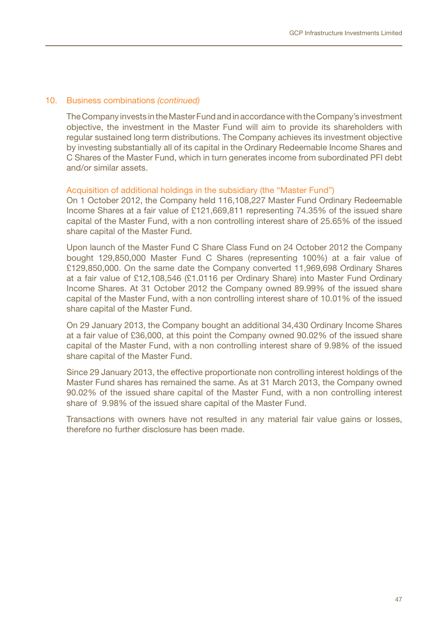### 10. Business combinations *(continued)*

The Company invests in the Master Fund and in accordance with the Company's investment objective, the investment in the Master Fund will aim to provide its shareholders with regular sustained long term distributions. The Company achieves its investment objective by investing substantially all of its capital in the Ordinary Redeemable Income Shares and C Shares of the Master Fund, which in turn generates income from subordinated PFI debt and/or similar assets.

#### Acquisition of additional holdings in the subsidiary (the "Master Fund")

On 1 October 2012, the Company held 116,108,227 Master Fund Ordinary Redeemable Income Shares at a fair value of £121,669,811 representing 74.35% of the issued share capital of the Master Fund, with a non controlling interest share of 25.65% of the issued share capital of the Master Fund.

Upon launch of the Master Fund C Share Class Fund on 24 October 2012 the Company bought 129,850,000 Master Fund C Shares (representing 100%) at a fair value of £129,850,000. On the same date the Company converted 11,969,698 Ordinary Shares at a fair value of £12,108,546 (£1.0116 per Ordinary Share) into Master Fund Ordinary Income Shares. At 31 October 2012 the Company owned 89.99% of the issued share capital of the Master Fund, with a non controlling interest share of 10.01% of the issued share capital of the Master Fund.

On 29 January 2013, the Company bought an additional 34,430 Ordinary Income Shares at a fair value of £36,000, at this point the Company owned 90.02% of the issued share capital of the Master Fund, with a non controlling interest share of 9.98% of the issued share capital of the Master Fund.

Since 29 January 2013, the effective proportionate non controlling interest holdings of the Master Fund shares has remained the same. As at 31 March 2013, the Company owned 90.02% of the issued share capital of the Master Fund, with a non controlling interest share of 9.98% of the issued share capital of the Master Fund.

Transactions with owners have not resulted in any material fair value gains or losses, therefore no further disclosure has been made.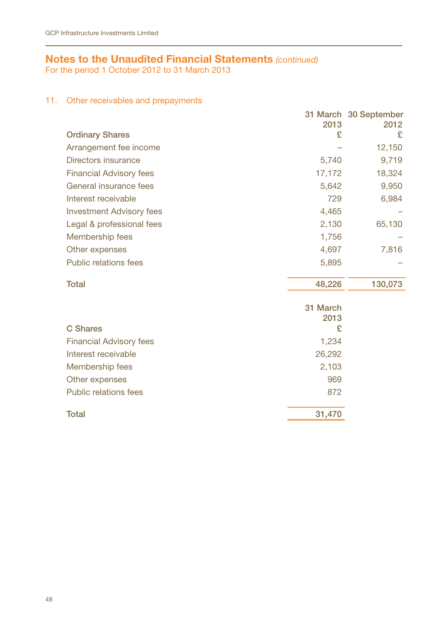For the period 1 October 2012 to 31 March 2013

## 11. Other receivables and prepayments

|                                 |          | 31 March 30 September |
|---------------------------------|----------|-----------------------|
|                                 | 2013     | 2012                  |
| <b>Ordinary Shares</b>          | £        | £                     |
| Arrangement fee income          |          | 12,150                |
| Directors insurance             | 5,740    | 9,719                 |
| <b>Financial Advisory fees</b>  | 17,172   | 18,324                |
| General insurance fees          | 5,642    | 9,950                 |
| Interest receivable             | 729      | 6,984                 |
| <b>Investment Advisory fees</b> | 4,465    |                       |
| Legal & professional fees       | 2,130    | 65,130                |
| Membership fees                 | 1,756    |                       |
| Other expenses                  | 4,697    | 7,816                 |
| Public relations fees           | 5,895    |                       |
| <b>Total</b>                    | 48,226   | 130,073               |
|                                 | 31 March |                       |
|                                 | 2013     |                       |
| C Shares                        | £        |                       |
| <b>Financial Advisory fees</b>  | 1,234    |                       |
| Interest receivable             | 26,292   |                       |
| Membership fees                 | 2,103    |                       |
| Other expenses                  | 969      |                       |
| Public relations fees           | 872      |                       |
| <b>Total</b>                    | 31,470   |                       |
|                                 |          |                       |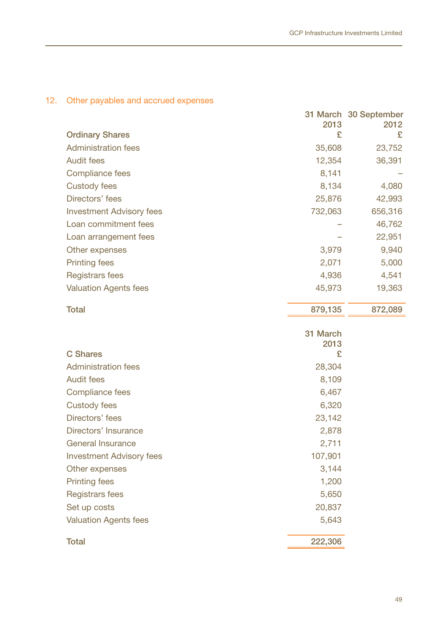## 12. Other payables and accrued expenses

|                  | 31 March 30 September<br>2012 |
|------------------|-------------------------------|
| £                | £                             |
| 35,608           | 23,752                        |
| 12,354           | 36,391                        |
| 8,141            |                               |
| 8,134            | 4,080                         |
| 25,876           | 42,993                        |
| 732,063          | 656,316                       |
|                  | 46,762                        |
|                  | 22,951                        |
| 3,979            | 9,940                         |
| 2,071            | 5,000                         |
| 4,936            | 4,541                         |
| 45,973           | 19,363                        |
| 879,135          | 872,089                       |
|                  |                               |
| 31 March<br>2013 |                               |
| £                |                               |
| 28,304           |                               |
| 8,109            |                               |
| 6,467            |                               |
| 6,320            |                               |
| 23,142           |                               |
| 2,878            |                               |
| 2,711            |                               |
| 107,901          |                               |
| 3,144            |                               |
| 1,200            |                               |
| 5,650            |                               |
| 20,837           |                               |
| 5,643            |                               |
| 222,306          |                               |
|                  | 2013                          |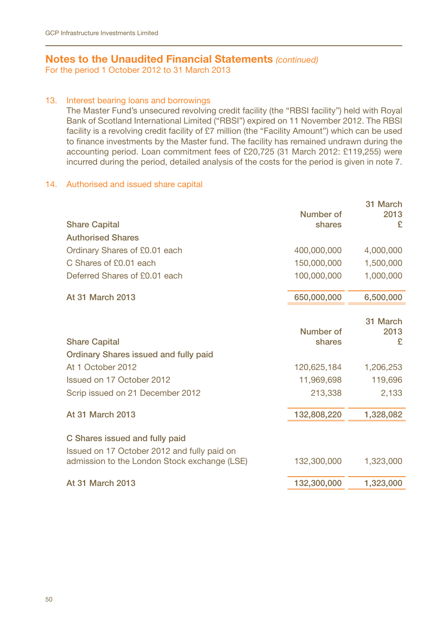For the period 1 October 2012 to 31 March 2013

### 13. Interest bearing loans and borrowings

The Master Fund's unsecured revolving credit facility (the "RBSI facility") held with Royal Bank of Scotland International Limited ("RBSI") expired on 11 November 2012. The RBSI facility is a revolving credit facility of £7 million (the "Facility Amount") which can be used to finance investments by the Master fund. The facility has remained undrawn during the accounting period. Loan commitment fees of £20,725 (31 March 2012: £119,255) were incurred during the period, detailed analysis of the costs for the period is given in note 7.

### 14. Authorised and issued share capital

|                                              |                     | 31 March  |
|----------------------------------------------|---------------------|-----------|
| <b>Share Capital</b>                         | Number of<br>shares | 2013<br>£ |
| <b>Authorised Shares</b>                     |                     |           |
| Ordinary Shares of £0.01 each                | 400,000,000         | 4,000,000 |
| C Shares of £0.01 each                       | 150,000,000         | 1,500,000 |
|                                              |                     |           |
| Deferred Shares of £0.01 each                | 100,000,000         | 1,000,000 |
| At 31 March 2013                             | 650,000,000         | 6,500,000 |
|                                              |                     | 31 March  |
|                                              | Number of           | 2013      |
| <b>Share Capital</b>                         | shares              | £         |
| Ordinary Shares issued and fully paid        |                     |           |
| At 1 October 2012                            | 120,625,184         | 1,206,253 |
| Issued on 17 October 2012                    | 11,969,698          | 119,696   |
| Scrip issued on 21 December 2012             | 213,338             | 2,133     |
| At 31 March 2013                             | 132,808,220         | 1,328,082 |
|                                              |                     |           |
| C Shares issued and fully paid               |                     |           |
| Issued on 17 October 2012 and fully paid on  |                     |           |
| admission to the London Stock exchange (LSE) | 132,300,000         | 1,323,000 |
| At 31 March 2013                             | 132,300,000         | 1,323,000 |
|                                              |                     |           |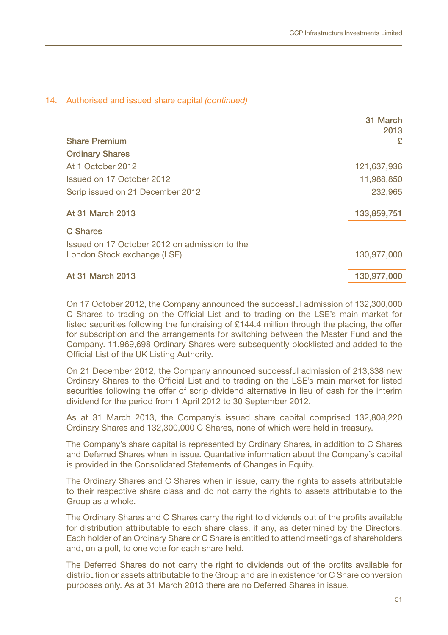#### 14. Authorised and issued share capital *(continued)*

|                                               | 31 March<br>2013 |
|-----------------------------------------------|------------------|
| <b>Share Premium</b>                          | £                |
| <b>Ordinary Shares</b>                        |                  |
| At 1 October 2012                             | 121,637,936      |
| Issued on 17 October 2012                     | 11,988,850       |
| Scrip issued on 21 December 2012              | 232,965          |
|                                               |                  |
| At 31 March 2013                              | 133,859,751      |
| C Shares                                      |                  |
| Issued on 17 October 2012 on admission to the |                  |
| London Stock exchange (LSE)                   | 130,977,000      |
| At 31 March 2013                              | 130,977,000      |
|                                               |                  |

On 17 October 2012, the Company announced the successful admission of 132,300,000 C Shares to trading on the Official List and to trading on the LSE's main market for listed securities following the fundraising of £144.4 million through the placing, the offer for subscription and the arrangements for switching between the Master Fund and the Company. 11,969,698 Ordinary Shares were subsequently blocklisted and added to the Official List of the UK Listing Authority.

On 21 December 2012, the Company announced successful admission of 213,338 new Ordinary Shares to the Official List and to trading on the LSE's main market for listed securities following the offer of scrip dividend alternative in lieu of cash for the interim dividend for the period from 1 April 2012 to 30 September 2012.

As at 31 March 2013, the Company's issued share capital comprised 132,808,220 Ordinary Shares and 132,300,000 C Shares, none of which were held in treasury.

The Company's share capital is represented by Ordinary Shares, in addition to C Shares and Deferred Shares when in issue. Quantative information about the Company's capital is provided in the Consolidated Statements of Changes in Equity.

The Ordinary Shares and C Shares when in issue, carry the rights to assets attributable to their respective share class and do not carry the rights to assets attributable to the Group as a whole.

The Ordinary Shares and C Shares carry the right to dividends out of the profits available for distribution attributable to each share class, if any, as determined by the Directors. Each holder of an Ordinary Share or C Share is entitled to attend meetings of shareholders and, on a poll, to one vote for each share held.

The Deferred Shares do not carry the right to dividends out of the profits available for distribution or assets attributable to the Group and are in existence for C Share conversion purposes only. As at 31 March 2013 there are no Deferred Shares in issue.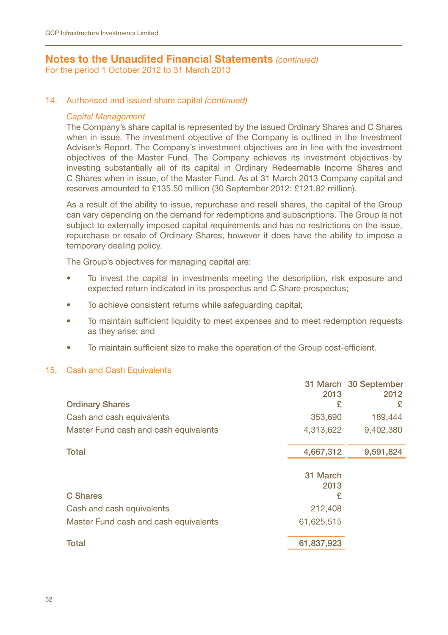For the period 1 October 2012 to 31 March 2013

#### 14. Authorised and issued share capital *(continued)*

#### *Capital Management*

The Company's share capital is represented by the issued Ordinary Shares and C Shares when in issue. The investment objective of the Company is outlined in the Investment Adviser's Report. The Company's investment objectives are in line with the investment objectives of the Master Fund. The Company achieves its investment objectives by investing substantially all of its capital in Ordinary Redeemable Income Shares and C Shares when in issue, of the Master Fund. As at 31 March 2013 Company capital and reserves amounted to £135.50 million (30 September 2012: £121.82 million).

As a result of the ability to issue, repurchase and resell shares, the capital of the Group can vary depending on the demand for redemptions and subscriptions. The Group is not subject to externally imposed capital requirements and has no restrictions on the issue, repurchase or resale of Ordinary Shares, however it does have the ability to impose a temporary dealing policy.

The Group's objectives for managing capital are:

- To invest the capital in investments meeting the description, risk exposure and expected return indicated in its prospectus and C Share prospectus;
- To achieve consistent returns while safeguarding capital;
- To maintain sufficient liquidity to meet expenses and to meet redemption requests as they arise; and
- To maintain sufficient size to make the operation of the Group cost-efficient.

#### 15. Cash and Cash Equivalents

|                                       |            | 31 March 30 September |
|---------------------------------------|------------|-----------------------|
|                                       | 2013       | 2012                  |
| <b>Ordinary Shares</b>                | £          | £                     |
| Cash and cash equivalents             | 353,690    | 189,444               |
| Master Fund cash and cash equivalents | 4,313,622  | 9,402,380             |
| <b>Total</b>                          | 4,667,312  | 9,591,824             |
|                                       |            |                       |
|                                       | 31 March   |                       |
|                                       | 2013       |                       |
| C Shares                              | £          |                       |
| Cash and cash equivalents             | 212,408    |                       |
| Master Fund cash and cash equivalents | 61,625,515 |                       |
|                                       |            |                       |
| <b>Total</b>                          | 61,837,923 |                       |
|                                       |            |                       |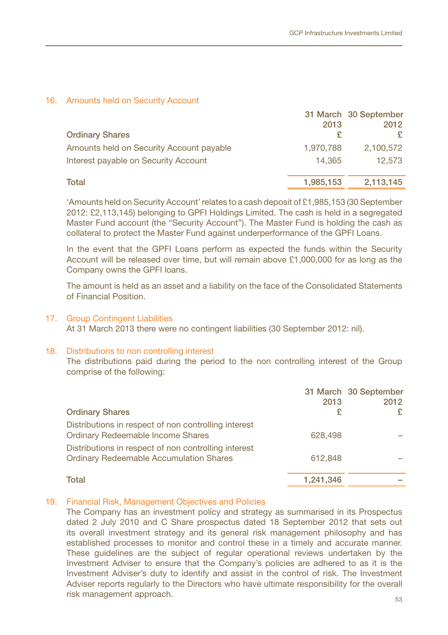#### 16. Amounts held on Security Account

|                                          |           | 31 March 30 September |
|------------------------------------------|-----------|-----------------------|
|                                          | 2013      | 2012                  |
| <b>Ordinary Shares</b>                   |           |                       |
| Amounts held on Security Account payable | 1.970.788 | 2,100,572             |
| Interest payable on Security Account     | 14.365    | 12.573                |
| Total                                    | 1,985,153 | 2,113,145             |

'Amounts held on Security Account' relates to a cash deposit of £1,985,153 (30 September 2012: £2,113,145) belonging to GPFI Holdings Limited. The cash is held in a segregated Master Fund account (the "Security Account"). The Master Fund is holding the cash as collateral to protect the Master Fund against underperformance of the GPFI Loans.

In the event that the GPFI Loans perform as expected the funds within the Security Account will be released over time, but will remain above £1,000,000 for as long as the Company owns the GPFI loans.

The amount is held as an asset and a liability on the face of the Consolidated Statements of Financial Position.

#### 17. Group Contingent Liabilities

At 31 March 2013 there were no contingent liabilities (30 September 2012: nil).

#### 18. Distributions to non controlling interest

The distributions paid during the period to the non controlling interest of the Group comprise of the following:

| <b>Ordinary Shares</b>                                                                                 | 2013      | 31 March 30 September<br>2012<br>£ |
|--------------------------------------------------------------------------------------------------------|-----------|------------------------------------|
| Distributions in respect of non controlling interest<br><b>Ordinary Redeemable Income Shares</b>       | 628,498   |                                    |
| Distributions in respect of non controlling interest<br><b>Ordinary Redeemable Accumulation Shares</b> | 612.848   |                                    |
| Total                                                                                                  | 1,241,346 |                                    |

## 19. Financial Risk, Management Objectives and Policies

 $53$ The Company has an investment policy and strategy as summarised in its Prospectus dated 2 July 2010 and C Share prospectus dated 18 September 2012 that sets out its overall investment strategy and its general risk management philosophy and has established processes to monitor and control these in a timely and accurate manner. These guidelines are the subject of regular operational reviews undertaken by the Investment Adviser to ensure that the Company's policies are adhered to as it is the Investment Adviser's duty to identify and assist in the control of risk. The Investment Adviser reports regularly to the Directors who have ultimate responsibility for the overall risk management approach.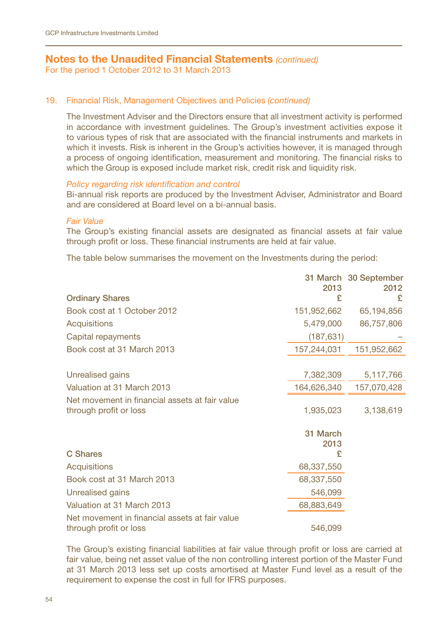For the period 1 October 2012 to 31 March 2013

### 19. Financial Risk, Management Objectives and Policies *(continued)*

The Investment Adviser and the Directors ensure that all investment activity is performed in accordance with investment guidelines. The Group's investment activities expose it to various types of risk that are associated with the financial instruments and markets in which it invests. Risk is inherent in the Group's activities however, it is managed through a process of ongoing identification, measurement and monitoring. The financial risks to which the Group is exposed include market risk, credit risk and liquidity risk.

## *Policy regarding risk identification and control*

Bi-annual risk reports are produced by the Investment Adviser, Administrator and Board and are considered at Board level on a bi-annual basis.

#### *Fair Value*

The Group's existing financial assets are designated as financial assets at fair value through profit or loss. These financial instruments are held at fair value.

The table below summarises the movement on the Investments during the period:

|                                                |             | 31 March 30 September |
|------------------------------------------------|-------------|-----------------------|
| <b>Ordinary Shares</b>                         | 2013<br>£   | 2012<br>£             |
| Book cost at 1 October 2012                    | 151,952,662 | 65,194,856            |
| Acquisitions                                   | 5,479,000   | 86,757,806            |
| Capital repayments                             | (187, 631)  |                       |
| Book cost at 31 March 2013                     | 157,244,031 | 151,952,662           |
|                                                |             |                       |
| Unrealised gains                               | 7,382,309   | 5,117,766             |
| Valuation at 31 March 2013                     | 164,626,340 | 157,070,428           |
| Net movement in financial assets at fair value |             |                       |
| through profit or loss                         | 1,935,023   | 3,138,619             |
|                                                | 31 March    |                       |
|                                                | 2013        |                       |
| C Shares                                       | £           |                       |
| Acquisitions                                   | 68,337,550  |                       |
| Book cost at 31 March 2013                     | 68,337,550  |                       |
| Unrealised gains                               | 546,099     |                       |
| Valuation at 31 March 2013                     | 68,883,649  |                       |
| Net movement in financial assets at fair value |             |                       |
| through profit or loss                         | 546,099     |                       |

The Group's existing financial liabilities at fair value through profit or loss are carried at fair value, being net asset value of the non controlling interest portion of the Master Fund at 31 March 2013 less set up costs amortised at Master Fund level as a result of the requirement to expense the cost in full for IFRS purposes.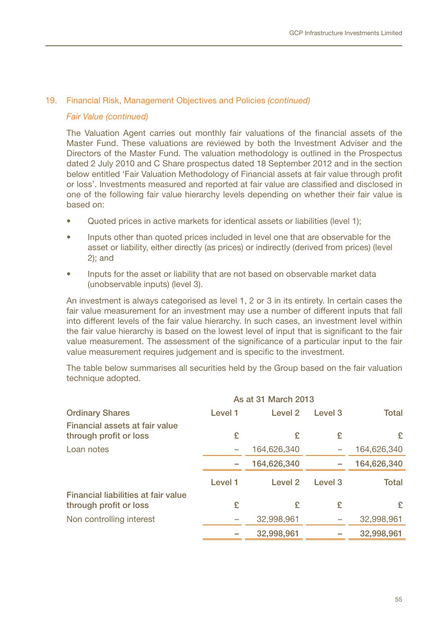#### 19. Financial Risk, Management Objectives and Policies *(continued)*

#### *Fair Value (continued)*

The Valuation Agent carries out monthly fair valuations of the financial assets of the Master Fund. These valuations are reviewed by both the Investment Adviser and the Directors of the Master Fund. The valuation methodology is outlined in the Prospectus dated 2 July 2010 and C Share prospectus dated 18 September 2012 and in the section below entitled 'Fair Valuation Methodology of Financial assets at fair value through profit or loss'. Investments measured and reported at fair value are classified and disclosed in one of the following fair value hierarchy levels depending on whether their fair value is based on:

- Quoted prices in active markets for identical assets or liabilities (level 1);
- Inputs other than quoted prices included in level one that are observable for the asset or liability, either directly (as prices) or indirectly (derived from prices) (level 2); and
- Inputs for the asset or liability that are not based on observable market data (unobservable inputs) (level 3).

An investment is always categorised as level 1, 2 or 3 in its entirety. In certain cases the fair value measurement for an investment may use a number of different inputs that fall into different levels of the fair value hierarchy. In such cases, an investment level within the fair value hierarchy is based on the lowest level of input that is significant to the fair value measurement. The assessment of the significance of a particular input to the fair value measurement requires judgement and is specific to the investment.

The table below summarises all securities held by the Group based on the fair valuation technique adopted.

|                                                               | As at 31 March 2013 |                    |                    |             |  |
|---------------------------------------------------------------|---------------------|--------------------|--------------------|-------------|--|
| <b>Ordinary Shares</b>                                        | Level 1             | Level <sub>2</sub> | Level <sub>3</sub> | Total       |  |
| Financial assets at fair value<br>through profit or loss      | £                   | £                  | £                  | £           |  |
| Loan notes                                                    |                     | 164,626,340        |                    | 164,626,340 |  |
|                                                               |                     | 164,626,340        |                    | 164,626,340 |  |
|                                                               | Level 1             | Level <sub>2</sub> | Level <sub>3</sub> | Total       |  |
| Financial liabilities at fair value<br>through profit or loss | £                   | £                  | £                  | £           |  |
| Non controlling interest                                      |                     | 32,998,961         |                    | 32,998,961  |  |
|                                                               |                     | 32,998,961         |                    | 32,998,961  |  |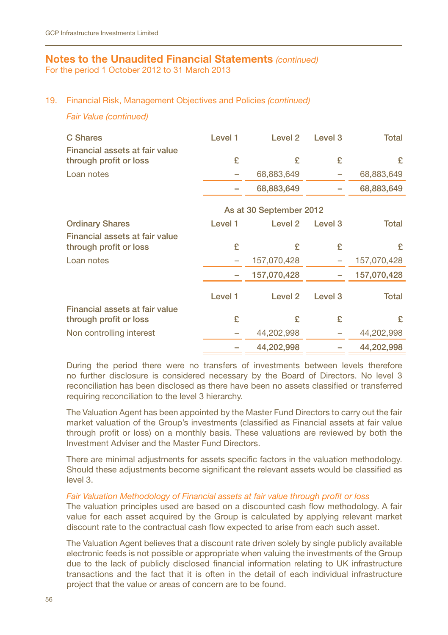For the period 1 October 2012 to 31 March 2013

### 19. Financial Risk, Management Objectives and Policies *(continued)*

#### *Fair Value (continued)*

| C Shares<br>Financial assets at fair value               | Level 1 | Level <sub>2</sub>      | Level 3 | Total       |
|----------------------------------------------------------|---------|-------------------------|---------|-------------|
| through profit or loss                                   | £       | £                       | £       | £           |
| Loan notes                                               |         | 68,883,649              |         | 68,883,649  |
|                                                          |         | 68,883,649              |         | 68,883,649  |
|                                                          |         | As at 30 September 2012 |         |             |
| <b>Ordinary Shares</b>                                   | Level 1 | Level <sub>2</sub>      | Level 3 | Total       |
| Financial assets at fair value                           |         |                         |         |             |
| through profit or loss                                   | £       | £                       | £       | £           |
| Loan notes                                               | -       | 157,070,428             |         | 157,070,428 |
|                                                          |         | 157,070,428             |         | 157,070,428 |
|                                                          | Level 1 | Level <sub>2</sub>      | Level 3 | Total       |
| Financial assets at fair value<br>through profit or loss | £       | £                       | £       | £           |
| Non controlling interest                                 |         | 44,202,998              |         | 44,202,998  |
|                                                          |         | 44.202.998              |         | 44.202.998  |

During the period there were no transfers of investments between levels therefore no further disclosure is considered necessary by the Board of Directors. No level 3 reconciliation has been disclosed as there have been no assets classified or transferred requiring reconciliation to the level 3 hierarchy.

The Valuation Agent has been appointed by the Master Fund Directors to carry out the fair market valuation of the Group's investments (classified as Financial assets at fair value through profit or loss) on a monthly basis. These valuations are reviewed by both the Investment Adviser and the Master Fund Directors.

There are minimal adjustments for assets specific factors in the valuation methodology. Should these adjustments become significant the relevant assets would be classified as level 3.

#### *Fair Valuation Methodology of Financial assets at fair value through profit or loss*

The valuation principles used are based on a discounted cash flow methodology. A fair value for each asset acquired by the Group is calculated by applying relevant market discount rate to the contractual cash flow expected to arise from each such asset.

The Valuation Agent believes that a discount rate driven solely by single publicly available electronic feeds is not possible or appropriate when valuing the investments of the Group due to the lack of publicly disclosed financial information relating to UK infrastructure transactions and the fact that it is often in the detail of each individual infrastructure project that the value or areas of concern are to be found.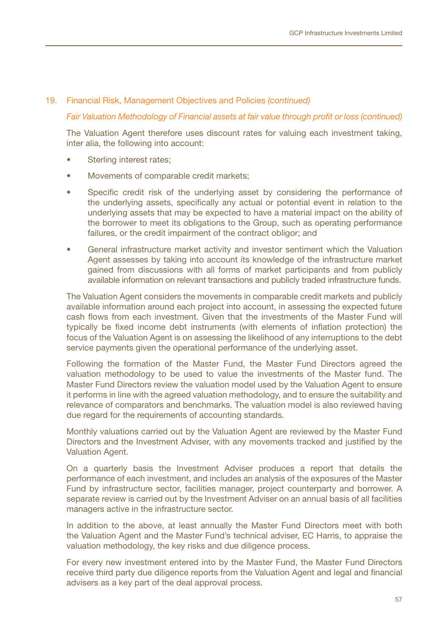#### 19. Financial Risk, Management Objectives and Policies *(continued)*

#### *Fair Valuation Methodology of Financial assets at fair value through profit or loss (continued)*

The Valuation Agent therefore uses discount rates for valuing each investment taking, inter alia, the following into account:

- Sterling interest rates:
- Movements of comparable credit markets;
- Specific credit risk of the underlying asset by considering the performance of the underlying assets, specifically any actual or potential event in relation to the underlying assets that may be expected to have a material impact on the ability of the borrower to meet its obligations to the Group, such as operating performance failures, or the credit impairment of the contract obligor; and
- General infrastructure market activity and investor sentiment which the Valuation Agent assesses by taking into account its knowledge of the infrastructure market gained from discussions with all forms of market participants and from publicly available information on relevant transactions and publicly traded infrastructure funds.

The Valuation Agent considers the movements in comparable credit markets and publicly available information around each project into account, in assessing the expected future cash flows from each investment. Given that the investments of the Master Fund will typically be fixed income debt instruments (with elements of inflation protection) the focus of the Valuation Agent is on assessing the likelihood of any interruptions to the debt service payments given the operational performance of the underlying asset.

Following the formation of the Master Fund, the Master Fund Directors agreed the valuation methodology to be used to value the investments of the Master fund. The Master Fund Directors review the valuation model used by the Valuation Agent to ensure it performs in line with the agreed valuation methodology, and to ensure the suitability and relevance of comparators and benchmarks. The valuation model is also reviewed having due regard for the requirements of accounting standards.

Monthly valuations carried out by the Valuation Agent are reviewed by the Master Fund Directors and the Investment Adviser, with any movements tracked and justified by the Valuation Agent.

On a quarterly basis the Investment Adviser produces a report that details the performance of each investment, and includes an analysis of the exposures of the Master Fund by infrastructure sector, facilities manager, project counterparty and borrower. A separate review is carried out by the Investment Adviser on an annual basis of all facilities managers active in the infrastructure sector.

In addition to the above, at least annually the Master Fund Directors meet with both the Valuation Agent and the Master Fund's technical adviser, EC Harris, to appraise the valuation methodology, the key risks and due diligence process.

For every new investment entered into by the Master Fund, the Master Fund Directors receive third party due diligence reports from the Valuation Agent and legal and financial advisers as a key part of the deal approval process.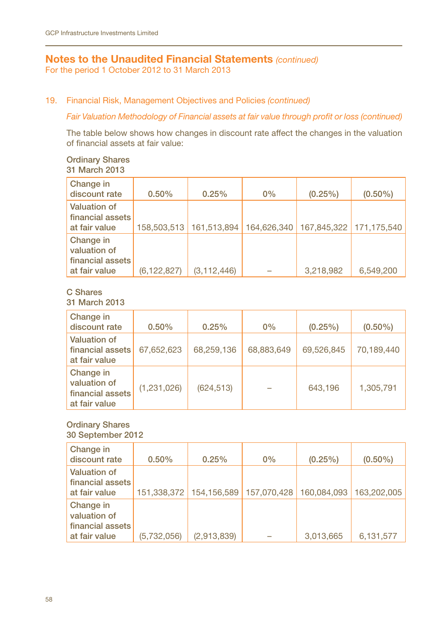For the period 1 October 2012 to 31 March 2013

#### 19. Financial Risk, Management Objectives and Policies *(continued)*

#### *Fair Valuation Methodology of Financial assets at fair value through profit or loss (continued)*

The table below shows how changes in discount rate affect the changes in the valuation of financial assets at fair value:

#### Ordinary Shares 31 March 2013

| Change in<br>discount rate                                     | 0.50%         | 0.25%                     | 0%          | $(0.25\%)$ | $(0.50\%)$              |
|----------------------------------------------------------------|---------------|---------------------------|-------------|------------|-------------------------|
| Valuation of<br>financial assets<br>at fair value              |               | 158,503,513   161,513,894 | 164.626.340 |            | 167,845,322 171,175,540 |
| Change in<br>valuation of<br>financial assets<br>at fair value | (6, 122, 827) | (3, 112, 446)             |             | 3,218,982  | 6,549,200               |

# C Shares

31 March 2013

| Change in<br>discount rate                                     | 0.50%       | 0.25%      | 0%         | $(0.25\%)$ | $(0.50\%)$ |
|----------------------------------------------------------------|-------------|------------|------------|------------|------------|
| Valuation of<br>financial assets<br>at fair value              | 67,652,623  | 68,259,136 | 68,883,649 | 69.526.845 | 70,189,440 |
| Change in<br>valuation of<br>financial assets<br>at fair value | (1,231,026) | (624, 513) |            | 643.196    | 1,305,791  |

#### Ordinary Shares 30 September 2012

Change in discount rate 0.50% 0.25% 0% (0.25%) (0.50%) Valuation of financial assets at fair value 151,338,372 154,156,589 157,070,428 160,084,093 163,202,005 Change in valuation of financial assets at fair value (5,732,056) (2,913,839) – 3,013,665 6,131,577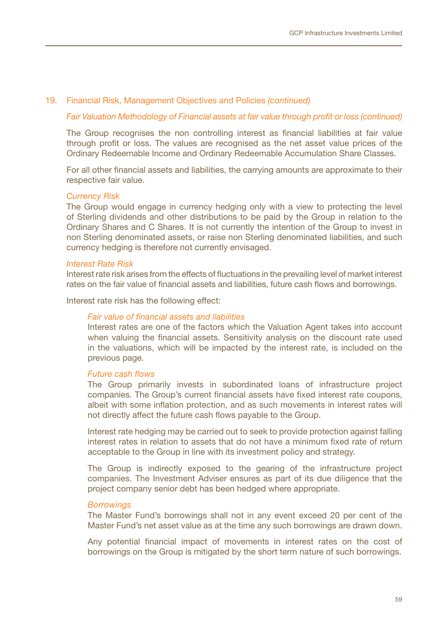#### 19. Financial Risk, Management Objectives and Policies *(continued)*

#### *Fair Valuation Methodology of Financial assets at fair value through profit or loss (continued)*

The Group recognises the non controlling interest as financial liabilities at fair value through profit or loss. The values are recognised as the net asset value prices of the Ordinary Redeemable Income and Ordinary Redeemable Accumulation Share Classes.

For all other financial assets and liabilities, the carrying amounts are approximate to their respective fair value.

#### *Currency Risk*

The Group would engage in currency hedging only with a view to protecting the level of Sterling dividends and other distributions to be paid by the Group in relation to the Ordinary Shares and C Shares. It is not currently the intention of the Group to invest in non Sterling denominated assets, or raise non Sterling denominated liabilities, and such currency hedging is therefore not currently envisaged.

#### *Interest Rate Risk*

Interest rate risk arises from the effects of fluctuations in the prevailing level of market interest rates on the fair value of financial assets and liabilities, future cash flows and borrowings.

Interest rate risk has the following effect:

#### *Fair value of financial assets and liabilities*

Interest rates are one of the factors which the Valuation Agent takes into account when valuing the financial assets. Sensitivity analysis on the discount rate used in the valuations, which will be impacted by the interest rate, is included on the previous page.

#### *Future cash flows*

The Group primarily invests in subordinated loans of infrastructure project companies. The Group's current financial assets have fixed interest rate coupons, albeit with some inflation protection, and as such movements in interest rates will not directly affect the future cash flows payable to the Group.

Interest rate hedging may be carried out to seek to provide protection against falling interest rates in relation to assets that do not have a minimum fixed rate of return acceptable to the Group in line with its investment policy and strategy.

The Group is indirectly exposed to the gearing of the infrastructure project companies. The Investment Adviser ensures as part of its due diligence that the project company senior debt has been hedged where appropriate.

#### *Borrowings*

The Master Fund's borrowings shall not in any event exceed 20 per cent of the Master Fund's net asset value as at the time any such borrowings are drawn down.

Any potential financial impact of movements in interest rates on the cost of borrowings on the Group is mitigated by the short term nature of such borrowings.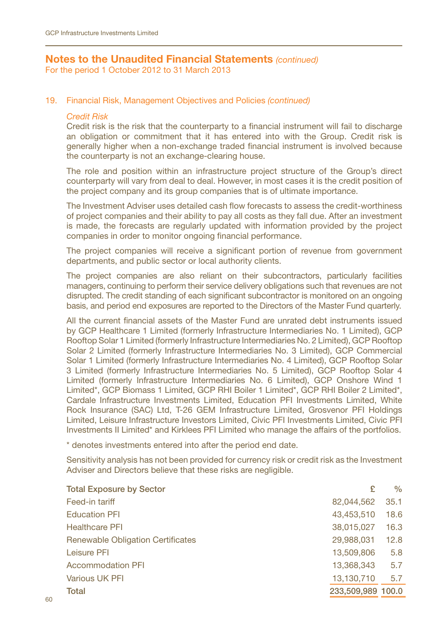For the period 1 October 2012 to 31 March 2013

#### 19. Financial Risk, Management Objectives and Policies *(continued)*

### *Credit Risk*

Credit risk is the risk that the counterparty to a financial instrument will fail to discharge an obligation or commitment that it has entered into with the Group. Credit risk is generally higher when a non-exchange traded financial instrument is involved because the counterparty is not an exchange-clearing house.

The role and position within an infrastructure project structure of the Group's direct counterparty will vary from deal to deal. However, in most cases it is the credit position of the project company and its group companies that is of ultimate importance.

The Investment Adviser uses detailed cash flow forecasts to assess the credit-worthiness of project companies and their ability to pay all costs as they fall due. After an investment is made, the forecasts are regularly updated with information provided by the project companies in order to monitor ongoing financial performance.

The project companies will receive a significant portion of revenue from government departments, and public sector or local authority clients.

The project companies are also reliant on their subcontractors, particularly facilities managers, continuing to perform their service delivery obligations such that revenues are not disrupted. The credit standing of each significant subcontractor is monitored on an ongoing basis, and period end exposures are reported to the Directors of the Master Fund quarterly.

All the current financial assets of the Master Fund are unrated debt instruments issued by GCP Healthcare 1 Limited (formerly Infrastructure Intermediaries No. 1 Limited), GCP Rooftop Solar 1 Limited (formerly Infrastructure Intermediaries No. 2 Limited), GCP Rooftop Solar 2 Limited (formerly Infrastructure Intermediaries No. 3 Limited), GCP Commercial Solar 1 Limited (formerly Infrastructure Intermediaries No. 4 Limited), GCP Rooftop Solar 3 Limited (formerly Infrastructure Intermediaries No. 5 Limited), GCP Rooftop Solar 4 Limited (formerly Infrastructure Intermediaries No. 6 Limited), GCP Onshore Wind 1 Limited\*, GCP Biomass 1 Limited, GCP RHI Boiler 1 Limited\*, GCP RHI Boiler 2 Limited\*, Cardale Infrastructure Investments Limited, Education PFI Investments Limited, White Rock Insurance (SAC) Ltd, T-26 GEM Infrastructure Limited, Grosvenor PFI Holdings Limited, Leisure Infrastructure Investors Limited, Civic PFI Investments Limited, Civic PFI Investments II Limited\* and Kirklees PFI Limited who manage the affairs of the portfolios.

\* denotes investments entered into after the period end date.

Sensitivity analysis has not been provided for currency risk or credit risk as the Investment Adviser and Directors believe that these risks are negligible.

| <b>Total Exposure by Sector</b>          |                   | $\%$ |
|------------------------------------------|-------------------|------|
| Feed-in tariff                           | 82,044,562        | 35.1 |
| <b>Education PFI</b>                     | 43,453,510        | 18.6 |
| <b>Healthcare PFI</b>                    | 38,015,027        | 16.3 |
| <b>Renewable Obligation Certificates</b> | 29,988,031        | 12.8 |
| Leisure PFI                              | 13,509,806        | 5.8  |
| <b>Accommodation PFI</b>                 | 13,368,343        | 5.7  |
| Various UK PFI                           | 13,130,710        | 5.7  |
| Total                                    | 233,509,989 100.0 |      |
|                                          |                   |      |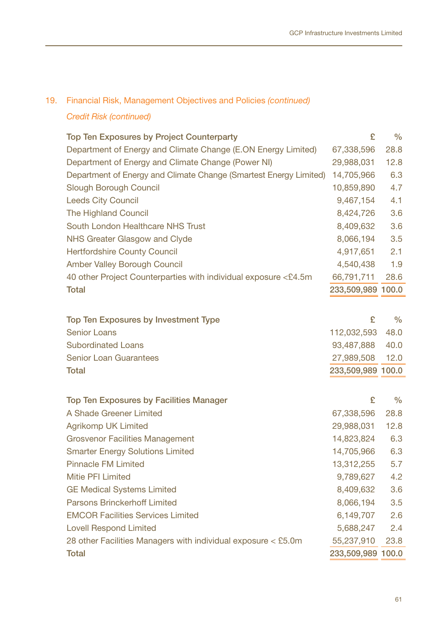# 19. Financial Risk, Management Objectives and Policies *(continued)*

# *Credit Risk (continued)*

| Top Ten Exposures by Project Counterparty                         | £                 | $\%$          |
|-------------------------------------------------------------------|-------------------|---------------|
| Department of Energy and Climate Change (E.ON Energy Limited)     | 67,338,596        | 28.8          |
| Department of Energy and Climate Change (Power NI)                | 29,988,031        | 12.8          |
| Department of Energy and Climate Change (Smartest Energy Limited) | 14,705,966        | 6.3           |
| Slough Borough Council                                            | 10,859,890        | 4.7           |
| <b>Leeds City Council</b>                                         | 9,467,154         | 4.1           |
| The Highland Council                                              | 8,424,726         | 3.6           |
| South London Healthcare NHS Trust                                 | 8,409,632         | 3.6           |
| NHS Greater Glasgow and Clyde                                     | 8,066,194         | 3.5           |
| <b>Hertfordshire County Council</b>                               | 4,917,651         | 2.1           |
| Amber Valley Borough Council                                      | 4,540,438         | 1.9           |
| 40 other Project Counterparties with individual exposure <£4.5m   | 66,791,711        | 28.6          |
| Total                                                             | 233,509,989 100.0 |               |
|                                                                   |                   |               |
| Top Ten Exposures by Investment Type                              | £                 | $\frac{0}{0}$ |
| Senior Loans                                                      | 112,032,593       | 48.0          |
| <b>Subordinated Loans</b>                                         | 93,487,888        | 40.0          |
| <b>Senior Loan Guarantees</b>                                     | 27,989,508        | 12.0          |
| Total                                                             | 233,509,989 100.0 |               |
|                                                                   |                   |               |
| Top Ten Exposures by Facilities Manager                           | £                 | $\frac{0}{0}$ |
| A Shade Greener Limited                                           | 67,338,596        | 28.8          |
| Agrikomp UK Limited                                               | 29,988,031        | 12.8          |
| <b>Grosvenor Facilities Management</b>                            | 14,823,824        | 6.3           |
| <b>Smarter Energy Solutions Limited</b>                           | 14,705,966        | 6.3           |
| <b>Pinnacle FM Limited</b>                                        | 13,312,255        | 5.7           |
| Mitie PFI Limited                                                 | 9,789,627         | 4.2           |
| <b>GE Medical Systems Limited</b>                                 | 8,409,632         | 3.6           |
| Parsons Brinckerhoff Limited                                      | 8,066,194         | 3.5           |
| <b>EMCOR Facilities Services Limited</b>                          | 6,149,707         | 2.6           |
| <b>Lovell Respond Limited</b>                                     | 5,688,247         | 2.4           |
| 28 other Facilities Managers with individual exposure < £5.0m     | 55,237,910        | 23.8          |
| Total                                                             | 233,509,989 100.0 |               |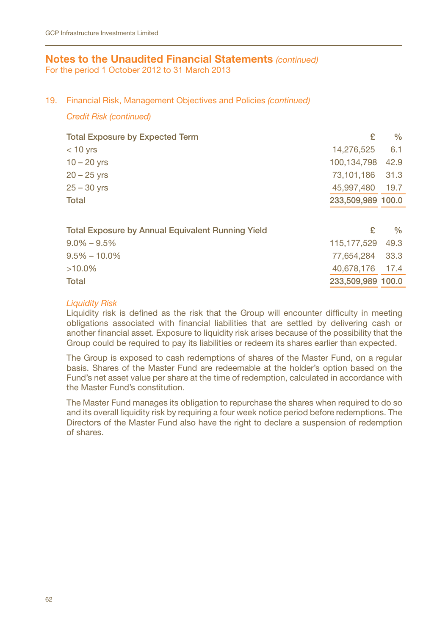For the period 1 October 2012 to 31 March 2013

#### 19. Financial Risk, Management Objectives and Policies *(continued)*

#### *Credit Risk (continued)*

| <b>Total Exposure by Expected Term</b>            | £                 | $\%$ |
|---------------------------------------------------|-------------------|------|
| $<$ 10 yrs                                        | 14,276,525        | 6.1  |
| $10 - 20$ yrs                                     | 100.134.798       | 42.9 |
| $20 - 25$ yrs                                     | 73.101.186        | 31.3 |
| $25 - 30$ yrs                                     | 45,997,480        | 19.7 |
| Total                                             | 233,509,989 100.0 |      |
|                                                   |                   |      |
| Total Exposure by Annual Equivalent Running Yield | £                 | $\%$ |
| $9.0\% - 9.5\%$                                   | 115, 177, 529     | 49.3 |
| $9.5\% - 10.0\%$                                  | 77.654.284        | 33.3 |
| $>10.0\%$                                         | 40.678.176 17.4   |      |
| Total                                             | 233.509.989 100.0 |      |

## *Liquidity Risk*

Liquidity risk is defined as the risk that the Group will encounter difficulty in meeting obligations associated with financial liabilities that are settled by delivering cash or another financial asset. Exposure to liquidity risk arises because of the possibility that the Group could be required to pay its liabilities or redeem its shares earlier than expected.

The Group is exposed to cash redemptions of shares of the Master Fund, on a regular basis. Shares of the Master Fund are redeemable at the holder's option based on the Fund's net asset value per share at the time of redemption, calculated in accordance with the Master Fund's constitution.

The Master Fund manages its obligation to repurchase the shares when required to do so and its overall liquidity risk by requiring a four week notice period before redemptions. The Directors of the Master Fund also have the right to declare a suspension of redemption of shares.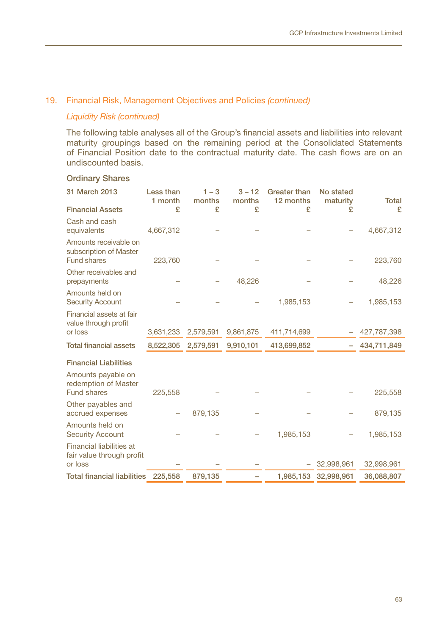## 19. Financial Risk, Management Objectives and Policies *(continued)*

## *Liquidity Risk (continued)*

The following table analyses all of the Group's financial assets and liabilities into relevant maturity groupings based on the remaining period at the Consolidated Statements of Financial Position date to the contractual maturity date. The cash flows are on an undiscounted basis.

#### Ordinary Shares

| 31 March 2013                                                         | Less than<br>1 month | $1 - 3$<br>months | $3 - 12$<br>months | <b>Greater than</b><br>12 months | No stated<br>maturity | <b>Total</b> |
|-----------------------------------------------------------------------|----------------------|-------------------|--------------------|----------------------------------|-----------------------|--------------|
| <b>Financial Assets</b>                                               | £                    | £                 | £                  | £                                | £                     | £            |
| Cash and cash<br>equivalents                                          | 4,667,312            |                   |                    |                                  |                       | 4,667,312    |
| Amounts receivable on<br>subscription of Master<br><b>Fund shares</b> | 223,760              |                   |                    |                                  |                       | 223,760      |
| Other receivables and<br>prepayments                                  |                      |                   | 48,226             |                                  |                       | 48,226       |
| Amounts held on<br><b>Security Account</b>                            |                      |                   |                    | 1,985,153                        |                       | 1,985,153    |
| Financial assets at fair<br>value through profit<br>or loss           | 3,631,233            | 2,579,591         | 9,861,875          | 411,714,699                      |                       | 427,787,398  |
|                                                                       |                      |                   |                    |                                  |                       |              |
| <b>Total financial assets</b>                                         | 8,522,305            | 2,579,591         | 9,910,101          | 413,699,852                      |                       | 434,711,849  |
| <b>Financial Liabilities</b>                                          |                      |                   |                    |                                  |                       |              |
| Amounts payable on<br>redemption of Master<br>Fund shares             | 225,558              |                   |                    |                                  |                       | 225,558      |
| Other payables and<br>accrued expenses                                |                      | 879,135           |                    |                                  |                       | 879,135      |
| Amounts held on<br><b>Security Account</b>                            |                      |                   |                    | 1,985,153                        |                       | 1,985,153    |
| Financial liabilities at<br>fair value through profit<br>or loss      |                      |                   |                    |                                  | 32,998,961            | 32,998,961   |
| <b>Total financial liabilities</b>                                    | 225,558              | 879,135           |                    | 1,985,153                        | 32,998,961            | 36,088,807   |
|                                                                       |                      |                   |                    |                                  |                       |              |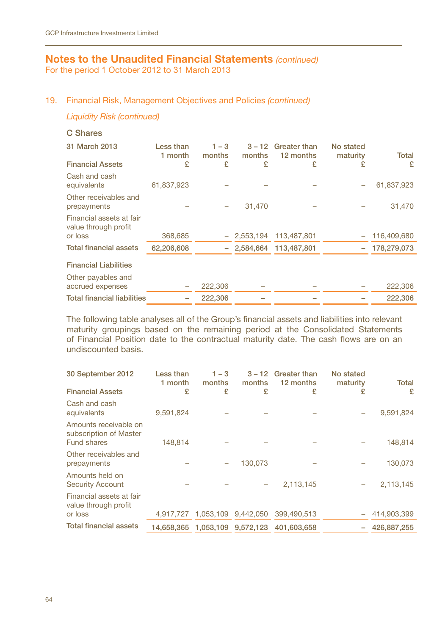For the period 1 October 2012 to 31 March 2013

## 19. Financial Risk, Management Objectives and Policies *(continued)*

*Liquidity Risk (continued)* 

## C Shares

| 31 March 2013<br><b>Financial Assets</b>                    | Less than<br>1 month<br>£ | $1 - 3$<br>months<br>£ | $3 - 12$<br>months<br>£ | Greater than<br>12 months<br>£ | No stated<br>maturity<br>£ | Total<br>£     |
|-------------------------------------------------------------|---------------------------|------------------------|-------------------------|--------------------------------|----------------------------|----------------|
| Cash and cash<br>equivalents                                | 61,837,923                |                        |                         |                                |                            | 61,837,923     |
| Other receivables and<br>prepayments                        |                           |                        | 31.470                  |                                |                            | 31,470         |
| Financial assets at fair<br>value through profit<br>or loss | 368.685                   |                        | 2.553.194               | 113.487.801                    |                            | 116,409,680    |
| <b>Total financial assets</b>                               | 62,206,608                |                        |                         | $-2.584.664$ 113.487.801       |                            | $-178,279,073$ |
| <b>Financial Liabilities</b>                                |                           |                        |                         |                                |                            |                |
| Other payables and<br>accrued expenses                      |                           | 222,306                |                         |                                |                            | 222,306        |
| <b>Total financial liabilities</b>                          |                           | 222.306                |                         |                                |                            | 222.306        |

The following table analyses all of the Group's financial assets and liabilities into relevant maturity groupings based on the remaining period at the Consolidated Statements of Financial Position date to the contractual maturity date. The cash flows are on an undiscounted basis.

| 30 September 2012                                              | Less than<br>1 month | $1 - 3$<br>months | $3 - 12$<br>months  | <b>Greater than</b><br>12 months | No stated<br>maturity | Total       |
|----------------------------------------------------------------|----------------------|-------------------|---------------------|----------------------------------|-----------------------|-------------|
| <b>Financial Assets</b>                                        | £                    | £                 | £                   | £                                | £                     | £           |
| Cash and cash<br>equivalents                                   | 9,591,824            |                   |                     |                                  |                       | 9,591,824   |
| Amounts receivable on<br>subscription of Master<br>Fund shares | 148,814              |                   |                     |                                  |                       | 148,814     |
| Other receivables and                                          |                      |                   |                     |                                  |                       |             |
| prepayments                                                    |                      | -                 | 130.073             |                                  |                       | 130,073     |
| Amounts held on<br><b>Security Account</b>                     |                      |                   |                     | 2,113,145                        |                       | 2,113,145   |
| Financial assets at fair<br>value through profit               |                      |                   |                     |                                  |                       |             |
| or loss                                                        | 4.917.727            |                   | 1.053.109 9.442.050 | 399.490.513                      |                       | 414,903,399 |
| <b>Total financial assets</b>                                  |                      |                   |                     | 401.603.658                      |                       | 426.887.255 |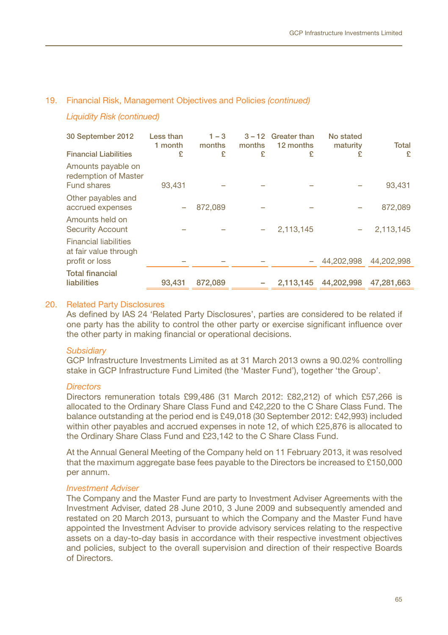#### 19. Financial Risk, Management Objectives and Policies *(continued)*

## *Liquidity Risk (continued)*

| 30 September 2012<br><b>Financial Liabilities</b>                       | Less than<br>1 month<br>£ | $1 - 3$<br>months<br>£ | $3 - 12$<br>months<br>£ | <b>Greater than</b><br>12 months<br>£ | No stated<br>maturity<br>£ | Total<br>£ |
|-------------------------------------------------------------------------|---------------------------|------------------------|-------------------------|---------------------------------------|----------------------------|------------|
| Amounts payable on<br>redemption of Master<br>Fund shares               | 93.431                    |                        |                         |                                       |                            | 93,431     |
| Other payables and<br>accrued expenses                                  |                           | 872,089                |                         |                                       |                            | 872,089    |
| Amounts held on<br><b>Security Account</b>                              |                           |                        |                         | 2.113.145                             |                            | 2,113,145  |
| <b>Financial liabilities</b><br>at fair value through<br>profit or loss |                           |                        |                         |                                       | 44.202.998                 | 44.202.998 |
| <b>Total financial</b><br>liabilities                                   | 93.431                    | 872.089                |                         | 2.113.145                             | 44.202.998                 | 47.281.663 |

#### 20. Related Party Disclosures

As defined by IAS 24 'Related Party Disclosures', parties are considered to be related if one party has the ability to control the other party or exercise significant influence over the other party in making financial or operational decisions.

#### *Subsidiary*

GCP Infrastructure Investments Limited as at 31 March 2013 owns a 90.02% controlling stake in GCP Infrastructure Fund Limited (the 'Master Fund'), together 'the Group'.

#### *Directors*

Directors remuneration totals £99,486 (31 March 2012: £82,212) of which £57,266 is allocated to the Ordinary Share Class Fund and £42,220 to the C Share Class Fund. The balance outstanding at the period end is £49,018 (30 September 2012: £42,993) included within other payables and accrued expenses in note 12, of which £25,876 is allocated to the Ordinary Share Class Fund and £23,142 to the C Share Class Fund.

At the Annual General Meeting of the Company held on 11 February 2013, it was resolved that the maximum aggregate base fees payable to the Directors be increased to £150,000 per annum.

#### *Investment Adviser*

The Company and the Master Fund are party to Investment Adviser Agreements with the Investment Adviser, dated 28 June 2010, 3 June 2009 and subsequently amended and restated on 20 March 2013, pursuant to which the Company and the Master Fund have appointed the Investment Adviser to provide advisory services relating to the respective assets on a day-to-day basis in accordance with their respective investment objectives and policies, subject to the overall supervision and direction of their respective Boards of Directors.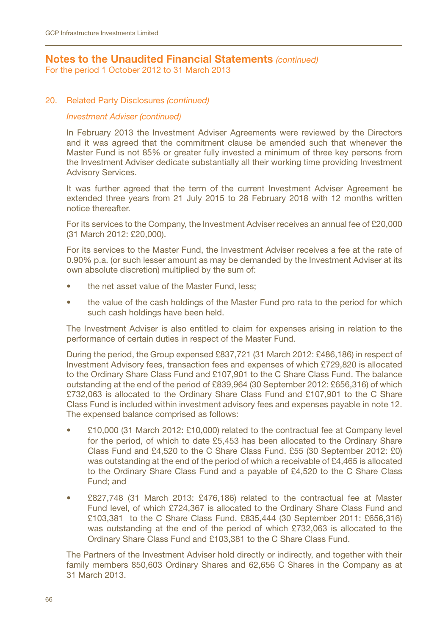For the period 1 October 2012 to 31 March 2013

### 20. Related Party Disclosures *(continued)*

#### *Investment Adviser (continued)*

In February 2013 the Investment Adviser Agreements were reviewed by the Directors and it was agreed that the commitment clause be amended such that whenever the Master Fund is not 85% or greater fully invested a minimum of three key persons from the Investment Adviser dedicate substantially all their working time providing Investment Advisory Services.

It was further agreed that the term of the current Investment Adviser Agreement be extended three years from 21 July 2015 to 28 February 2018 with 12 months written notice thereafter.

For its services to the Company, the Investment Adviser receives an annual fee of £20,000 (31 March 2012: £20,000).

For its services to the Master Fund, the Investment Adviser receives a fee at the rate of 0.90% p.a. (or such lesser amount as may be demanded by the Investment Adviser at its own absolute discretion) multiplied by the sum of:

- the net asset value of the Master Fund, less;
- the value of the cash holdings of the Master Fund pro rata to the period for which such cash holdings have been held.

The Investment Adviser is also entitled to claim for expenses arising in relation to the performance of certain duties in respect of the Master Fund.

During the period, the Group expensed £837,721 (31 March 2012: £486,186) in respect of Investment Advisory fees, transaction fees and expenses of which £729,820 is allocated to the Ordinary Share Class Fund and £107,901 to the C Share Class Fund. The balance outstanding at the end of the period of £839,964 (30 September 2012: £656,316) of which £732,063 is allocated to the Ordinary Share Class Fund and £107,901 to the C Share Class Fund is included within investment advisory fees and expenses payable in note 12. The expensed balance comprised as follows:

- £10,000 (31 March 2012: £10,000) related to the contractual fee at Company level for the period, of which to date £5,453 has been allocated to the Ordinary Share Class Fund and £4,520 to the C Share Class Fund. £55 (30 September 2012: £0) was outstanding at the end of the period of which a receivable of £4,465 is allocated to the Ordinary Share Class Fund and a payable of £4,520 to the C Share Class Fund; and
- £827,748 (31 March 2013: £476,186) related to the contractual fee at Master Fund level, of which £724,367 is allocated to the Ordinary Share Class Fund and £103,381 to the C Share Class Fund. £835,444 (30 September 2011: £656,316) was outstanding at the end of the period of which £732,063 is allocated to the Ordinary Share Class Fund and £103,381 to the C Share Class Fund.

The Partners of the Investment Adviser hold directly or indirectly, and together with their family members 850,603 Ordinary Shares and 62,656 C Shares in the Company as at 31 March 2013.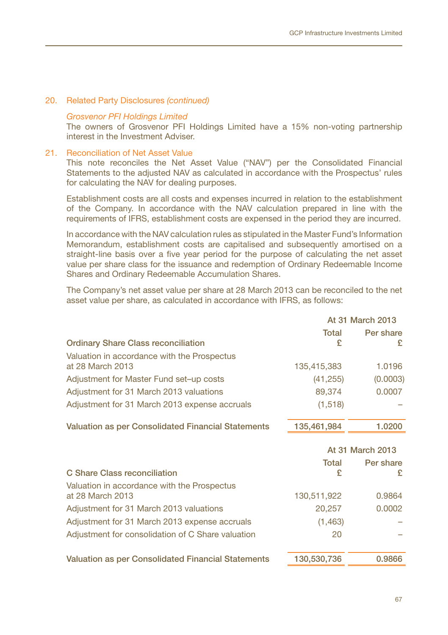#### 20. Related Party Disclosures *(continued)*

#### *Grosvenor PFI Holdings Limited*

The owners of Grosvenor PFI Holdings Limited have a 15% non-voting partnership interest in the Investment Adviser.

#### 21. Reconciliation of Net Asset Value

This note reconciles the Net Asset Value ("NAV") per the Consolidated Financial Statements to the adjusted NAV as calculated in accordance with the Prospectus' rules for calculating the NAV for dealing purposes.

Establishment costs are all costs and expenses incurred in relation to the establishment of the Company. In accordance with the NAV calculation prepared in line with the requirements of IFRS, establishment costs are expensed in the period they are incurred.

In accordance with the NAV calculation rules as stipulated in the Master Fund's Information Memorandum, establishment costs are capitalised and subsequently amortised on a straight-line basis over a five year period for the purpose of calculating the net asset value per share class for the issuance and redemption of Ordinary Redeemable Income Shares and Ordinary Redeemable Accumulation Shares.

The Company's net asset value per share at 28 March 2013 can be reconciled to the net asset value per share, as calculated in accordance with IFRS, as follows:

|                                                    |             | At 31 March 2013 |
|----------------------------------------------------|-------------|------------------|
|                                                    | Total       | Per share        |
| <b>Ordinary Share Class reconciliation</b>         | £           | £                |
| Valuation in accordance with the Prospectus        |             |                  |
| at 28 March 2013                                   | 135,415,383 | 1.0196           |
| Adjustment for Master Fund set-up costs            | (41, 255)   | (0.0003)         |
| Adjustment for 31 March 2013 valuations            | 89,374      | 0.0007           |
| Adjustment for 31 March 2013 expense accruals      | (1, 518)    |                  |
| Valuation as per Consolidated Financial Statements | 135,461,984 | 1.0200           |
|                                                    |             | At 31 March 2013 |
|                                                    | Total       | Per share        |
| C Share Class reconciliation                       | £           | £                |
| Valuation in accordance with the Prospectus        |             |                  |
| at 28 March 2013                                   | 130,511,922 | 0.9864           |
| Adjustment for 31 March 2013 valuations            | 20,257      | 0.0002           |
| Adjustment for 31 March 2013 expense accruals      | (1, 463)    |                  |
| Adjustment for consolidation of C Share valuation  | 20          |                  |
|                                                    |             |                  |
| Valuation as per Consolidated Financial Statements | 130,530,736 | 0.9866           |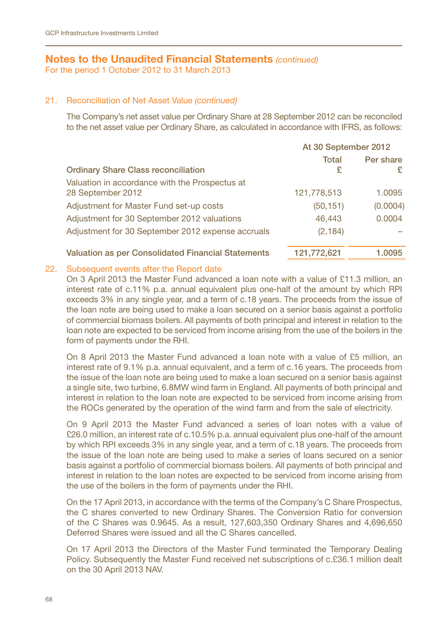For the period 1 October 2012 to 31 March 2013

## 21. Reconciliation of Net Asset Value *(continued)*

The Company's net asset value per Ordinary Share at 28 September 2012 can be reconciled to the net asset value per Ordinary Share, as calculated in accordance with IFRS, as follows:

|                                                    | At 30 September 2012 |           |  |
|----------------------------------------------------|----------------------|-----------|--|
|                                                    | Total                | Per share |  |
| <b>Ordinary Share Class reconciliation</b>         | £                    | £         |  |
| Valuation in accordance with the Prospectus at     |                      |           |  |
| 28 September 2012                                  | 121,778,513          | 1.0095    |  |
| Adjustment for Master Fund set-up costs            | (50, 151)            | (0.0004)  |  |
| Adjustment for 30 September 2012 valuations        | 46.443               | 0.0004    |  |
| Adjustment for 30 September 2012 expense accruals  | (2, 184)             |           |  |
|                                                    |                      |           |  |
| Valuation as per Consolidated Financial Statements | 121,772,621          | 1.0095    |  |

## 22. Subsequent events after the Report date

On 3 April 2013 the Master Fund advanced a loan note with a value of £11.3 million, an interest rate of c.11% p.a. annual equivalent plus one-half of the amount by which RPI exceeds 3% in any single year, and a term of c.18 years. The proceeds from the issue of the loan note are being used to make a loan secured on a senior basis against a portfolio of commercial biomass boilers. All payments of both principal and interest in relation to the loan note are expected to be serviced from income arising from the use of the boilers in the form of payments under the RHI.

On 8 April 2013 the Master Fund advanced a loan note with a value of £5 million, an interest rate of 9.1% p.a. annual equivalent, and a term of c.16 years. The proceeds from the issue of the loan note are being used to make a loan secured on a senior basis against a single site, two turbine, 6.8MW wind farm in England. All payments of both principal and interest in relation to the loan note are expected to be serviced from income arising from the ROCs generated by the operation of the wind farm and from the sale of electricity.

On 9 April 2013 the Master Fund advanced a series of loan notes with a value of £26.0 million, an interest rate of c.10.5% p.a. annual equivalent plus one-half of the amount by which RPI exceeds 3% in any single year, and a term of c.18 years. The proceeds from the issue of the loan note are being used to make a series of loans secured on a senior basis against a portfolio of commercial biomass boilers. All payments of both principal and interest in relation to the loan notes are expected to be serviced from income arising from the use of the boilers in the form of payments under the RHI.

On the 17 April 2013, in accordance with the terms of the Company's C Share Prospectus, the C shares converted to new Ordinary Shares. The Conversion Ratio for conversion of the C Shares was 0.9645. As a result, 127,603,350 Ordinary Shares and 4,696,650 Deferred Shares were issued and all the C Shares cancelled.

On 17 April 2013 the Directors of the Master Fund terminated the Temporary Dealing Policy. Subsequently the Master Fund received net subscriptions of c.£36.1 million dealt on the 30 April 2013 NAV.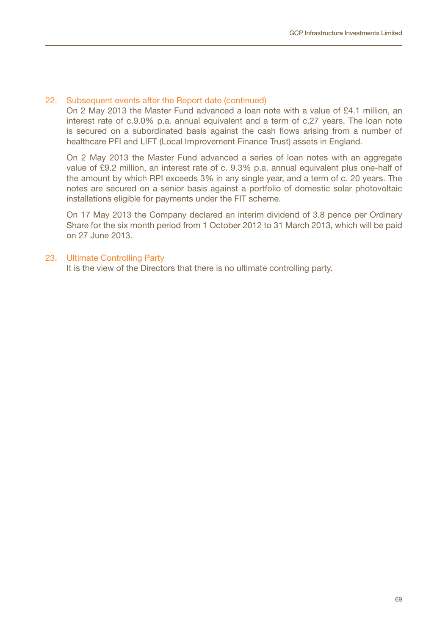### 22. Subsequent events after the Report date (continued)

On 2 May 2013 the Master Fund advanced a loan note with a value of £4.1 million, an interest rate of c.9.0% p.a. annual equivalent and a term of c.27 years. The loan note is secured on a subordinated basis against the cash flows arising from a number of healthcare PFI and LIFT (Local Improvement Finance Trust) assets in England.

On 2 May 2013 the Master Fund advanced a series of loan notes with an aggregate value of £9.2 million, an interest rate of c. 9.3% p.a. annual equivalent plus one-half of the amount by which RPI exceeds 3% in any single year, and a term of c. 20 years. The notes are secured on a senior basis against a portfolio of domestic solar photovoltaic installations eligible for payments under the FIT scheme.

On 17 May 2013 the Company declared an interim dividend of 3.8 pence per Ordinary Share for the six month period from 1 October 2012 to 31 March 2013, which will be paid on 27 June 2013.

#### 23. Ultimate Controlling Party

It is the view of the Directors that there is no ultimate controlling party.